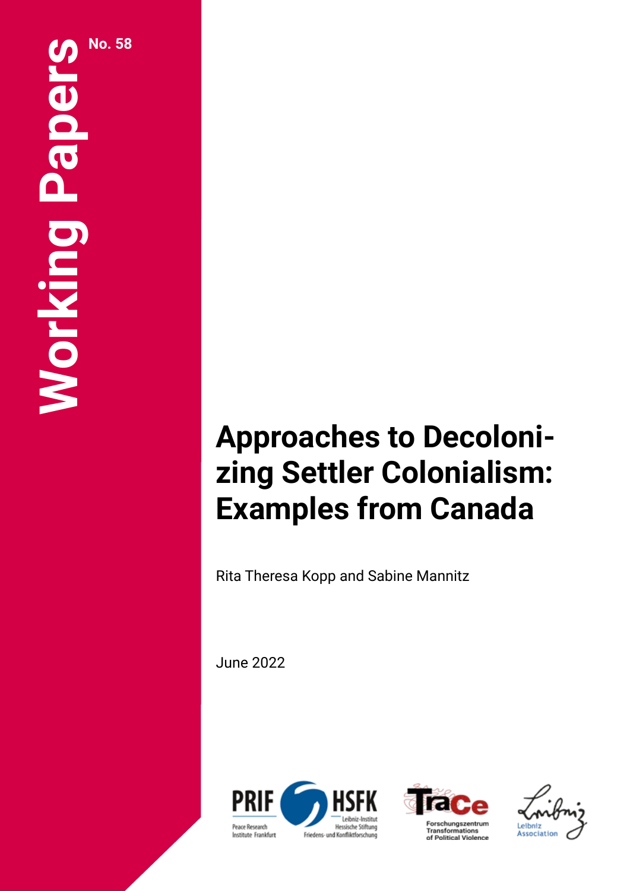# **Approaches to Decolonizing Settler Colonialism: Examples from Canada**

Rita Theresa Kopp and Sabine Mannitz

June 2022







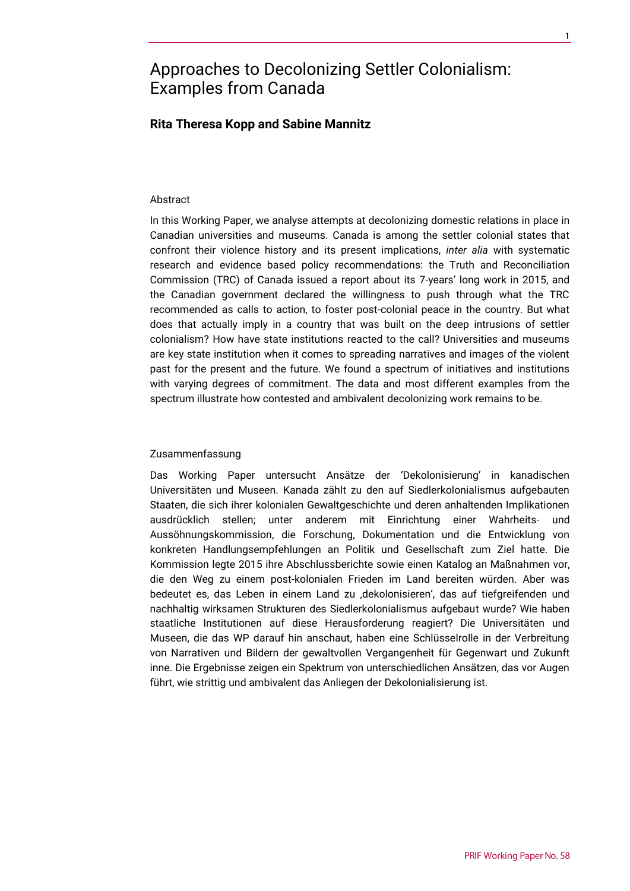# Approaches to Decolonizing Settler Colonialism: Examples from Canada

# **Rita Theresa Kopp and Sabine Mannitz**

# Abstract

In this Working Paper, we analyse attempts at decolonizing domestic relations in place in Canadian universities and museums. Canada is among the settler colonial states that confront their violence history and its present implications, *inter alia* with systematic research and evidence based policy recommendations: the Truth and Reconciliation Commission (TRC) of Canada issued a report about its 7-years' long work in 2015, and the Canadian government declared the willingness to push through what the TRC recommended as calls to action, to foster post-colonial peace in the country. But what does that actually imply in a country that was built on the deep intrusions of settler colonialism? How have state institutions reacted to the call? Universities and museums are key state institution when it comes to spreading narratives and images of the violent past for the present and the future. We found a spectrum of initiatives and institutions with varying degrees of commitment. The data and most different examples from the spectrum illustrate how contested and ambivalent decolonizing work remains to be.

# Zusammenfassung

Das Working Paper untersucht Ansätze der 'Dekolonisierung' in kanadischen Universitäten und Museen. Kanada zählt zu den auf Siedlerkolonialismus aufgebauten Staaten, die sich ihrer kolonialen Gewaltgeschichte und deren anhaltenden Implikationen ausdrücklich stellen; unter anderem mit Einrichtung einer Wahrheits- und Aussöhnungskommission, die Forschung, Dokumentation und die Entwicklung von konkreten Handlungsempfehlungen an Politik und Gesellschaft zum Ziel hatte. Die Kommission legte 2015 ihre Abschlussberichte sowie einen Katalog an Maßnahmen vor, die den Weg zu einem post-kolonialen Frieden im Land bereiten würden. Aber was bedeutet es, das Leben in einem Land zu 'dekolonisieren', das auf tiefgreifenden und nachhaltig wirksamen Strukturen des Siedlerkolonialismus aufgebaut wurde? Wie haben staatliche Institutionen auf diese Herausforderung reagiert? Die Universitäten und Museen, die das WP darauf hin anschaut, haben eine Schlüsselrolle in der Verbreitung von Narrativen und Bildern der gewaltvollen Vergangenheit für Gegenwart und Zukunft inne. Die Ergebnisse zeigen ein Spektrum von unterschiedlichen Ansätzen, das vor Augen führt, wie strittig und ambivalent das Anliegen der Dekolonialisierung ist.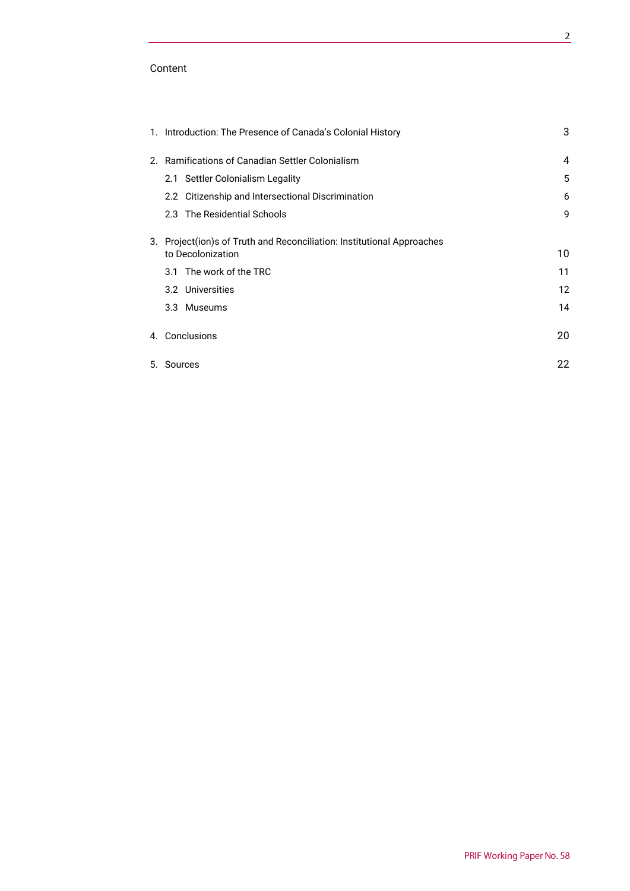# Content

| 1. Introduction: The Presence of Canada's Colonial History                                  | 3  |  |  |
|---------------------------------------------------------------------------------------------|----|--|--|
| 2. Ramifications of Canadian Settler Colonialism                                            | 4  |  |  |
| 2.1 Settler Colonialism Legality                                                            | 5  |  |  |
| 2.2 Citizenship and Intersectional Discrimination                                           | 6  |  |  |
| 2.3 The Residential Schools                                                                 | 9  |  |  |
| 3. Project(ion)s of Truth and Reconciliation: Institutional Approaches<br>to Decolonization |    |  |  |
| 3.1 The work of the TRC                                                                     | 11 |  |  |
| 3.2 Universities                                                                            | 12 |  |  |
| 3.3 Museums                                                                                 | 14 |  |  |
| 4. Conclusions                                                                              | 20 |  |  |
| 5. Sources                                                                                  | 22 |  |  |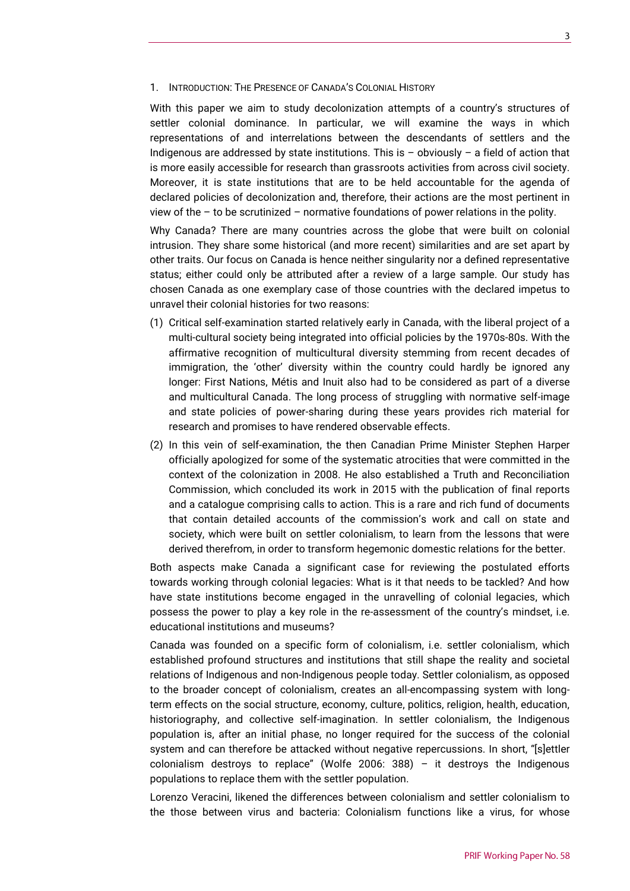# <span id="page-3-0"></span>1. INTRODUCTION: THE PRESENCE OF CANADA'S COLONIAL HISTORY

With this paper we aim to study decolonization attempts of a country's structures of settler colonial dominance. In particular, we will examine the ways in which representations of and interrelations between the descendants of settlers and the Indigenous are addressed by state institutions. This is  $-$  obviously  $-$  a field of action that is more easily accessible for research than grassroots activities from across civil society. Moreover, it is state institutions that are to be held accountable for the agenda of declared policies of decolonization and, therefore, their actions are the most pertinent in view of the  $-$  to be scrutinized  $-$  normative foundations of power relations in the polity.

Why Canada? There are many countries across the globe that were built on colonial intrusion. They share some historical (and more recent) similarities and are set apart by other traits. Our focus on Canada is hence neither singularity nor a defined representative status; either could only be attributed after a review of a large sample. Our study has chosen Canada as one exemplary case of those countries with the declared impetus to unravel their colonial histories for two reasons:

- (1) Critical self-examination started relatively early in Canada, with the liberal project of a multi-cultural society being integrated into official policies by the 1970s-80s. With the affirmative recognition of multicultural diversity stemming from recent decades of immigration, the 'other' diversity within the country could hardly be ignored any longer: First Nations, Métis and Inuit also had to be considered as part of a diverse and multicultural Canada. The long process of struggling with normative self-image and state policies of power-sharing during these years provides rich material for research and promises to have rendered observable effects.
- (2) In this vein of self-examination, the then Canadian Prime Minister Stephen Harper officially apologized for some of the systematic atrocities that were committed in the context of the colonization in 2008. He also established a Truth and Reconciliation Commission, which concluded its work in 2015 with the publication of final reports and a catalogue comprising calls to action. This is a rare and rich fund of documents that contain detailed accounts of the commission's work and call on state and society, which were built on settler colonialism, to learn from the lessons that were derived therefrom, in order to transform hegemonic domestic relations for the better.

Both aspects make Canada a significant case for reviewing the postulated efforts towards working through colonial legacies: What is it that needs to be tackled? And how have state institutions become engaged in the unravelling of colonial legacies, which possess the power to play a key role in the re-assessment of the country's mindset, i.e. educational institutions and museums?

Canada was founded on a specific form of colonialism, i.e. settler colonialism, which established profound structures and institutions that still shape the reality and societal relations of Indigenous and non-Indigenous people today. Settler colonialism, as opposed to the broader concept of colonialism, creates an all-encompassing system with longterm effects on the social structure, economy, culture, politics, religion, health, education, historiography, and collective self-imagination. In settler colonialism, the Indigenous population is, after an initial phase, no longer required for the success of the colonial system and can therefore be attacked without negative repercussions. In short, "[s]ettler colonialism destroys to replace" (Wolfe 2006: 388) – it destroys the Indigenous populations to replace them with the settler population.

Lorenzo Veracini, likened the differences between colonialism and settler colonialism to the those between virus and bacteria: Colonialism functions like a virus, for whose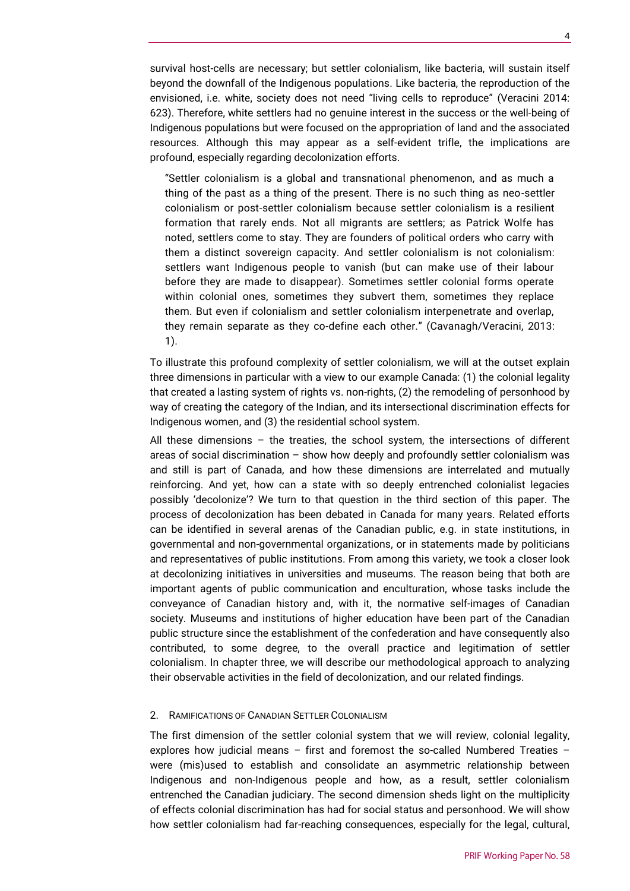survival host-cells are necessary; but settler colonialism, like bacteria, will sustain itself beyond the downfall of the Indigenous populations. Like bacteria, the reproduction of the envisioned, i.e. white, society does not need "living cells to reproduce" (Veracini 2014: 623). Therefore, white settlers had no genuine interest in the success or the well-being of Indigenous populations but were focused on the appropriation of land and the associated resources. Although this may appear as a self-evident trifle, the implications are profound, especially regarding decolonization efforts.

"Settler colonialism is a global and transnational phenomenon, and as much a thing of the past as a thing of the present. There is no such thing as neo-settler colonialism or post-settler colonialism because settler colonialism is a resilient formation that rarely ends. Not all migrants are settlers; as Patrick Wolfe has noted, settlers come to stay. They are founders of political orders who carry with them a distinct sovereign capacity. And settler colonialism is not colonialism: settlers want Indigenous people to vanish (but can make use of their labour before they are made to disappear). Sometimes settler colonial forms operate within colonial ones, sometimes they subvert them, sometimes they replace them. But even if colonialism and settler colonialism interpenetrate and overlap, they remain separate as they co-define each other." (Cavanagh/Veracini, 2013: 1).

To illustrate this profound complexity of settler colonialism, we will at the outset explain three dimensions in particular with a view to our example Canada: (1) the colonial legality that created a lasting system of rights vs. non-rights, (2) the remodeling of personhood by way of creating the category of the Indian, and its intersectional discrimination effects for Indigenous women, and (3) the residential school system.

All these dimensions – the treaties, the school system, the intersections of different areas of social discrimination – show how deeply and profoundly settler colonialism was and still is part of Canada, and how these dimensions are interrelated and mutually reinforcing. And yet, how can a state with so deeply entrenched colonialist legacies possibly 'decolonize'? We turn to that question in the third section of this paper. The process of decolonization has been debated in Canada for many years. Related efforts can be identified in several arenas of the Canadian public, e.g. in state institutions, in governmental and non-governmental organizations, or in statements made by politicians and representatives of public institutions. From among this variety, we took a closer look at decolonizing initiatives in universities and museums. The reason being that both are important agents of public communication and enculturation, whose tasks include the conveyance of Canadian history and, with it, the normative self-images of Canadian society. Museums and institutions of higher education have been part of the Canadian public structure since the establishment of the confederation and have consequently also contributed, to some degree, to the overall practice and legitimation of settler colonialism. In chapter three, we will describe our methodological approach to analyzing their observable activities in the field of decolonization, and our related findings.

# <span id="page-4-0"></span>2. RAMIFICATIONS OF CANADIAN SETTLER COLONIALISM

The first dimension of the settler colonial system that we will review, colonial legality, explores how judicial means – first and foremost the so-called Numbered Treaties – were (mis)used to establish and consolidate an asymmetric relationship between Indigenous and non-Indigenous people and how, as a result, settler colonialism entrenched the Canadian judiciary. The second dimension sheds light on the multiplicity of effects colonial discrimination has had for social status and personhood. We will show how settler colonialism had far-reaching consequences, especially for the legal, cultural,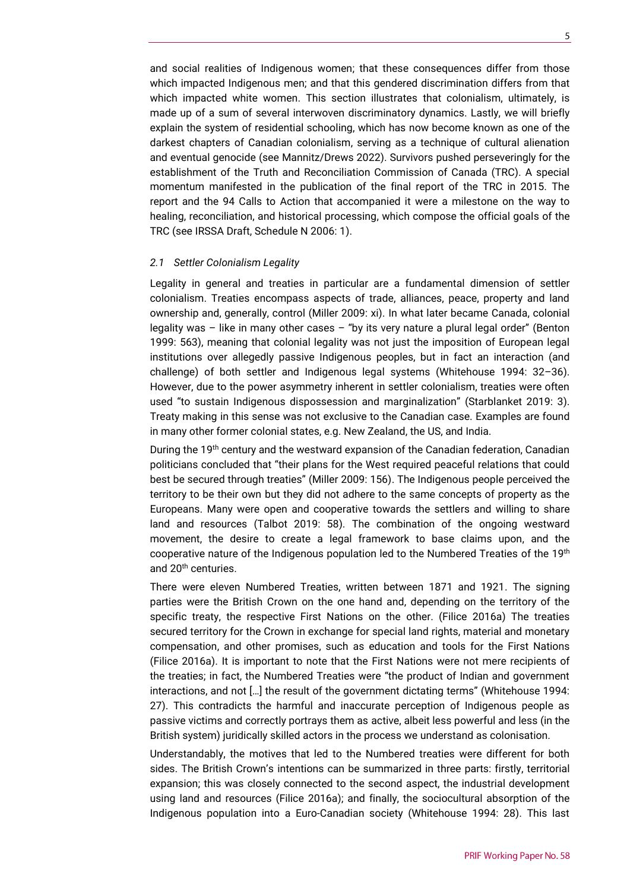and social realities of Indigenous women; that these consequences differ from those which impacted Indigenous men; and that this gendered discrimination differs from that which impacted white women. This section illustrates that colonialism, ultimately, is made up of a sum of several interwoven discriminatory dynamics. Lastly, we will briefly explain the system of residential schooling, which has now become known as one of the darkest chapters of Canadian colonialism, serving as a technique of cultural alienation and eventual genocide (see Mannitz/Drews 2022). Survivors pushed perseveringly for the establishment of the Truth and Reconciliation Commission of Canada (TRC). A special momentum manifested in the publication of the final report of the TRC in 2015. The report and the 94 Calls to Action that accompanied it were a milestone on the way to healing, reconciliation, and historical processing, which compose the official goals of the TRC (see IRSSA Draft, Schedule N 2006: 1).

# <span id="page-5-0"></span>*2.1 Settler Colonialism Legality*

Legality in general and treaties in particular are a fundamental dimension of settler colonialism. Treaties encompass aspects of trade, alliances, peace, property and land ownership and, generally, control (Miller 2009: xi). In what later became Canada, colonial legality was – like in many other cases – "by its very nature a plural legal order" (Benton 1999: 563), meaning that colonial legality was not just the imposition of European legal institutions over allegedly passive Indigenous peoples, but in fact an interaction (and challenge) of both settler and Indigenous legal systems (Whitehouse 1994: 32–36). However, due to the power asymmetry inherent in settler colonialism, treaties were often used "to sustain Indigenous dispossession and marginalization" (Starblanket 2019: 3). Treaty making in this sense was not exclusive to the Canadian case. Examples are found in many other former colonial states, e.g. New Zealand, the US, and India.

During the 19th century and the westward expansion of the Canadian federation, Canadian politicians concluded that "their plans for the West required peaceful relations that could best be secured through treaties" (Miller 2009: 156). The Indigenous people perceived the territory to be their own but they did not adhere to the same concepts of property as the Europeans. Many were open and cooperative towards the settlers and willing to share land and resources (Talbot 2019: 58). The combination of the ongoing westward movement, the desire to create a legal framework to base claims upon, and the cooperative nature of the Indigenous population led to the Numbered Treaties of the 19th and 20<sup>th</sup> centuries.

There were eleven Numbered Treaties, written between 1871 and 1921. The signing parties were the British Crown on the one hand and, depending on the territory of the specific treaty, the respective First Nations on the other. (Filice 2016a) The treaties secured territory for the Crown in exchange for special land rights, material and monetary compensation, and other promises, such as education and tools for the First Nations (Filice 2016a). It is important to note that the First Nations were not mere recipients of the treaties; in fact, the Numbered Treaties were "the product of Indian and government interactions, and not […] the result of the government dictating terms" (Whitehouse 1994: 27). This contradicts the harmful and inaccurate perception of Indigenous people as passive victims and correctly portrays them as active, albeit less powerful and less (in the British system) juridically skilled actors in the process we understand as colonisation.

Understandably, the motives that led to the Numbered treaties were different for both sides. The British Crown's intentions can be summarized in three parts: firstly, territorial expansion; this was closely connected to the second aspect, the industrial development using land and resources (Filice 2016a); and finally, the sociocultural absorption of the Indigenous population into a Euro-Canadian society (Whitehouse 1994: 28). This last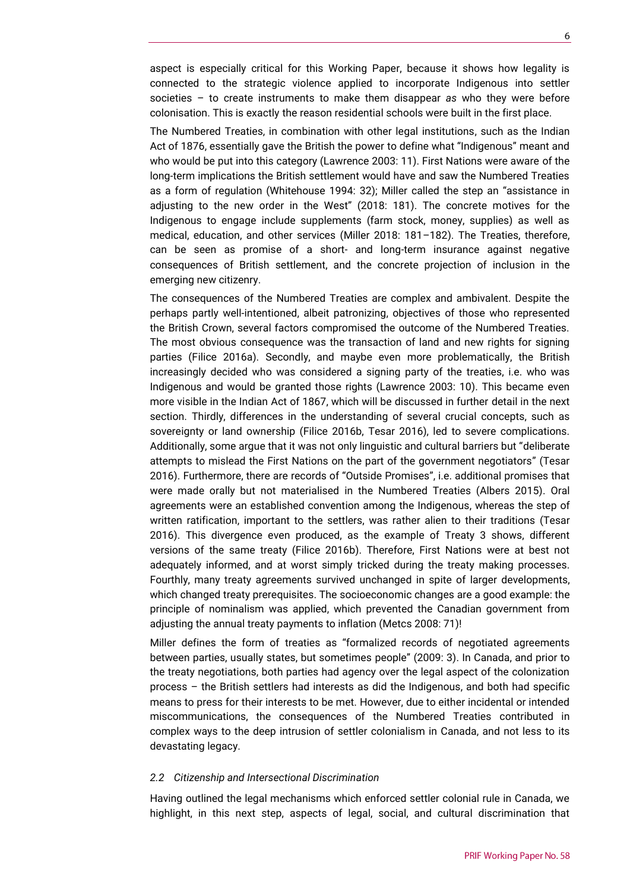aspect is especially critical for this Working Paper, because it shows how legality is connected to the strategic violence applied to incorporate Indigenous into settler societies – to create instruments to make them disappear *as* who they were before colonisation. This is exactly the reason residential schools were built in the first place.

The Numbered Treaties, in combination with other legal institutions, such as the Indian Act of 1876, essentially gave the British the power to define what "Indigenous" meant and who would be put into this category (Lawrence 2003: 11). First Nations were aware of the long-term implications the British settlement would have and saw the Numbered Treaties as a form of regulation (Whitehouse 1994: 32); Miller called the step an "assistance in adjusting to the new order in the West" (2018: 181). The concrete motives for the Indigenous to engage include supplements (farm stock, money, supplies) as well as medical, education, and other services (Miller 2018: 181–182). The Treaties, therefore, can be seen as promise of a short- and long-term insurance against negative consequences of British settlement, and the concrete projection of inclusion in the emerging new citizenry.

The consequences of the Numbered Treaties are complex and ambivalent. Despite the perhaps partly well-intentioned, albeit patronizing, objectives of those who represented the British Crown, several factors compromised the outcome of the Numbered Treaties. The most obvious consequence was the transaction of land and new rights for signing parties (Filice 2016a). Secondly, and maybe even more problematically, the British increasingly decided who was considered a signing party of the treaties, i.e. who was Indigenous and would be granted those rights (Lawrence 2003: 10). This became even more visible in the Indian Act of 1867, which will be discussed in further detail in the next section. Thirdly, differences in the understanding of several crucial concepts, such as sovereignty or land ownership (Filice 2016b, Tesar 2016), led to severe complications. Additionally, some argue that it was not only linguistic and cultural barriers but "deliberate attempts to mislead the First Nations on the part of the government negotiators" (Tesar 2016). Furthermore, there are records of "Outside Promises", i.e. additional promises that were made orally but not materialised in the Numbered Treaties (Albers 2015). Oral agreements were an established convention among the Indigenous, whereas the step of written ratification, important to the settlers, was rather alien to their traditions (Tesar 2016). This divergence even produced, as the example of Treaty 3 shows, different versions of the same treaty (Filice 2016b). Therefore, First Nations were at best not adequately informed, and at worst simply tricked during the treaty making processes. Fourthly, many treaty agreements survived unchanged in spite of larger developments, which changed treaty prerequisites. The socioeconomic changes are a good example: the principle of nominalism was applied, which prevented the Canadian government from adjusting the annual treaty payments to inflation (Metcs 2008: 71)!

Miller defines the form of treaties as "formalized records of negotiated agreements between parties, usually states, but sometimes people" (2009: 3). In Canada, and prior to the treaty negotiations, both parties had agency over the legal aspect of the colonization process – the British settlers had interests as did the Indigenous, and both had specific means to press for their interests to be met. However, due to either incidental or intended miscommunications, the consequences of the Numbered Treaties contributed in complex ways to the deep intrusion of settler colonialism in Canada, and not less to its devastating legacy.

#### <span id="page-6-0"></span>*2.2 Citizenship and Intersectional Discrimination*

Having outlined the legal mechanisms which enforced settler colonial rule in Canada, we highlight, in this next step, aspects of legal, social, and cultural discrimination that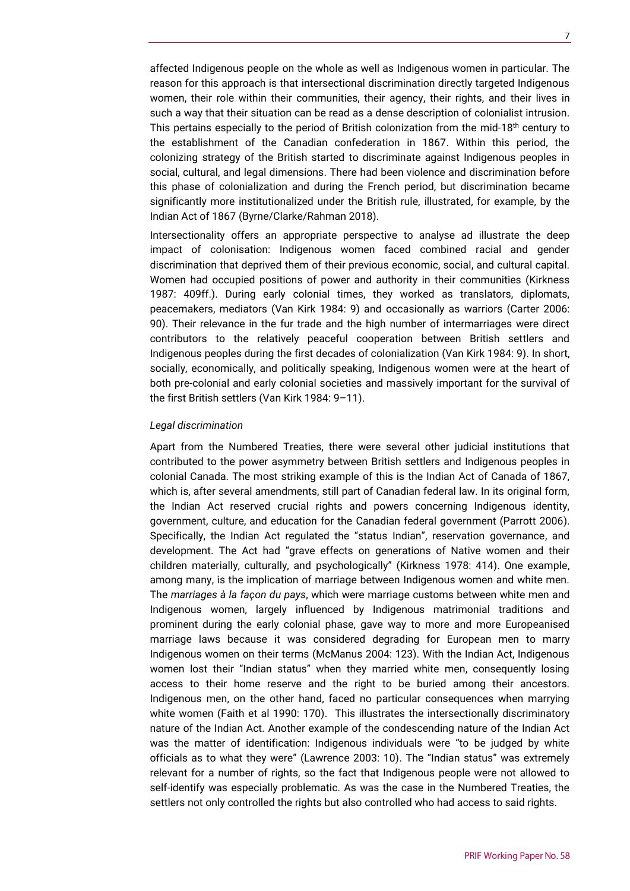affected Indigenous people on the whole as well as Indigenous women in particular. The reason for this approach is that intersectional discrimination directly targeted Indigenous women, their role within their communities, their agency, their rights, and their lives in such a way that their situation can be read as a dense description of colonialist intrusion. This pertains especially to the period of British colonization from the mid-18<sup>th</sup> century to the establishment of the Canadian confederation in 1867. Within this period, the colonizing strategy of the British started to discriminate against Indigenous peoples in social, cultural, and legal dimensions. There had been violence and discrimination before this phase of colonialization and during the French period, but discrimination became significantly more institutionalized under the British rule, illustrated, for example, by the

Intersectionality offers an appropriate perspective to analyse ad illustrate the deep impact of colonisation: Indigenous women faced combined racial and gender discrimination that deprived them of their previous economic, social, and cultural capital. Women had occupied positions of power and authority in their communities (Kirkness 1987: 409ff.). During early colonial times, they worked as translators, diplomats, peacemakers, mediators (Van Kirk 1984: 9) and occasionally as warriors (Carter 2006: 90). Their relevance in the fur trade and the high number of intermarriages were direct contributors to the relatively peaceful cooperation between British settlers and Indigenous peoples during the first decades of colonialization (Van Kirk 1984: 9). In short, socially, economically, and politically speaking, Indigenous women were at the heart of both pre-colonial and early colonial societies and massively important for the survival of the first British settlers (Van Kirk 1984: 9–11).

# *Legal discrimination*

Indian Act of 1867 (Byrne/Clarke/Rahman 2018).

Apart from the Numbered Treaties, there were several other judicial institutions that contributed to the power asymmetry between British settlers and Indigenous peoples in colonial Canada. The most striking example of this is the Indian Act of Canada of 1867, which is, after several amendments, still part of Canadian federal law. In its original form, the Indian Act reserved crucial rights and powers concerning Indigenous identity, government, culture, and education for the Canadian federal government (Parrott 2006). Specifically, the Indian Act regulated the "status Indian", reservation governance, and development. The Act had "grave effects on generations of Native women and their children materially, culturally, and psychologically" (Kirkness 1978: 414). One example, among many, is the implication of marriage between Indigenous women and white men. The *marriages à la façon du pays*, which were marriage customs between white men and Indigenous women, largely influenced by Indigenous matrimonial traditions and prominent during the early colonial phase, gave way to more and more Europeanised marriage laws because it was considered degrading for European men to marry Indigenous women on their terms (McManus 2004: 123). With the Indian Act, Indigenous women lost their "Indian status" when they married white men, consequently losing access to their home reserve and the right to be buried among their ancestors. Indigenous men, on the other hand, faced no particular consequences when marrying white women (Faith et al 1990: 170). This illustrates the intersectionally discriminatory nature of the Indian Act. Another example of the condescending nature of the Indian Act was the matter of identification: Indigenous individuals were "to be judged by white officials as to what they were" (Lawrence 2003: 10). The "Indian status" was extremely relevant for a number of rights, so the fact that Indigenous people were not allowed to self-identify was especially problematic. As was the case in the Numbered Treaties, the settlers not only controlled the rights but also controlled who had access to said rights.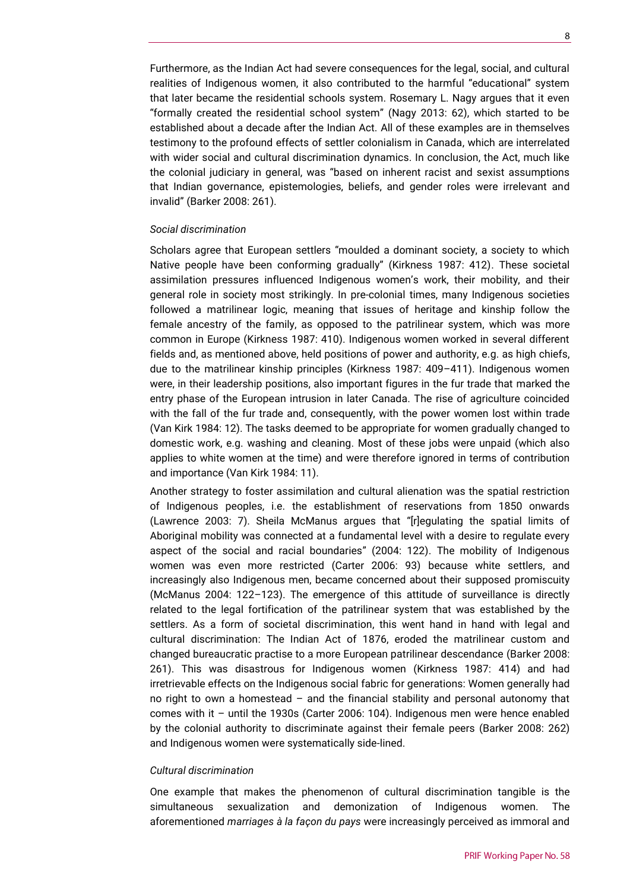Furthermore, as the Indian Act had severe consequences for the legal, social, and cultural realities of Indigenous women, it also contributed to the harmful "educational" system that later became the residential schools system. Rosemary L. Nagy argues that it even "formally created the residential school system" (Nagy 2013: 62), which started to be established about a decade after the Indian Act. All of these examples are in themselves testimony to the profound effects of settler colonialism in Canada, which are interrelated with wider social and cultural discrimination dynamics. In conclusion, the Act, much like the colonial judiciary in general, was "based on inherent racist and sexist assumptions that Indian governance, epistemologies, beliefs, and gender roles were irrelevant and invalid" (Barker 2008: 261).

# *Social discrimination*

Scholars agree that European settlers "moulded a dominant society, a society to which Native people have been conforming gradually" (Kirkness 1987: 412). These societal assimilation pressures influenced Indigenous women's work, their mobility, and their general role in society most strikingly. In pre-colonial times, many Indigenous societies followed a matrilinear logic, meaning that issues of heritage and kinship follow the female ancestry of the family, as opposed to the patrilinear system, which was more common in Europe (Kirkness 1987: 410). Indigenous women worked in several different fields and, as mentioned above, held positions of power and authority, e.g. as high chiefs, due to the matrilinear kinship principles (Kirkness 1987: 409–411). Indigenous women were, in their leadership positions, also important figures in the fur trade that marked the entry phase of the European intrusion in later Canada. The rise of agriculture coincided with the fall of the fur trade and, consequently, with the power women lost within trade (Van Kirk 1984: 12). The tasks deemed to be appropriate for women gradually changed to domestic work, e.g. washing and cleaning. Most of these jobs were unpaid (which also applies to white women at the time) and were therefore ignored in terms of contribution and importance (Van Kirk 1984: 11).

Another strategy to foster assimilation and cultural alienation was the spatial restriction of Indigenous peoples, i.e. the establishment of reservations from 1850 onwards (Lawrence 2003: 7). Sheila McManus argues that "[r]egulating the spatial limits of Aboriginal mobility was connected at a fundamental level with a desire to regulate every aspect of the social and racial boundaries" (2004: 122). The mobility of Indigenous women was even more restricted (Carter 2006: 93) because white settlers, and increasingly also Indigenous men, became concerned about their supposed promiscuity (McManus 2004: 122–123). The emergence of this attitude of surveillance is directly related to the legal fortification of the patrilinear system that was established by the settlers. As a form of societal discrimination, this went hand in hand with legal and cultural discrimination: The Indian Act of 1876, eroded the matrilinear custom and changed bureaucratic practise to a more European patrilinear descendance (Barker 2008: 261). This was disastrous for Indigenous women (Kirkness 1987: 414) and had irretrievable effects on the Indigenous social fabric for generations: Women generally had no right to own a homestead – and the financial stability and personal autonomy that comes with it – until the 1930s (Carter 2006: 104). Indigenous men were hence enabled by the colonial authority to discriminate against their female peers (Barker 2008: 262) and Indigenous women were systematically side-lined.

# *Cultural discrimination*

One example that makes the phenomenon of cultural discrimination tangible is the simultaneous sexualization and demonization of Indigenous women. The aforementioned *marriages à la façon du pays* were increasingly perceived as immoral and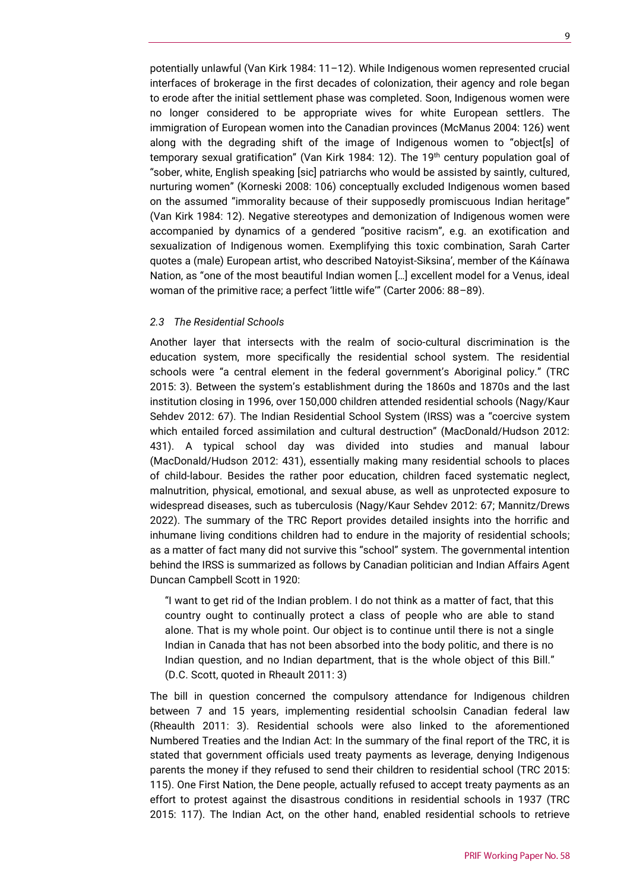potentially unlawful (Van Kirk 1984: 11–12). While Indigenous women represented crucial interfaces of brokerage in the first decades of colonization, their agency and role began to erode after the initial settlement phase was completed. Soon, Indigenous women were no longer considered to be appropriate wives for white European settlers. The immigration of European women into the Canadian provinces (McManus 2004: 126) went along with the degrading shift of the image of Indigenous women to "object[s] of temporary sexual gratification" (Van Kirk 1984: 12). The 19<sup>th</sup> century population goal of "sober, white, English speaking [sic] patriarchs who would be assisted by saintly, cultured, nurturing women" (Korneski 2008: 106) conceptually excluded Indigenous women based on the assumed "immorality because of their supposedly promiscuous Indian heritage" (Van Kirk 1984: 12). Negative stereotypes and demonization of Indigenous women were accompanied by dynamics of a gendered "positive racism", e.g. an exotification and sexualization of Indigenous women. Exemplifying this toxic combination, Sarah Carter quotes a (male) European artist, who described Natoyist-Siksina', member of the Káínawa Nation, as "one of the most beautiful Indian women […] excellent model for a Venus, ideal woman of the primitive race; a perfect 'little wife'" (Carter 2006: 88–89).

# <span id="page-9-0"></span>*2.3 The Residential Schools*

Another layer that intersects with the realm of socio-cultural discrimination is the education system, more specifically the residential school system. The residential schools were "a central element in the federal government's Aboriginal policy." (TRC 2015: 3). Between the system's establishment during the 1860s and 1870s and the last institution closing in 1996, over 150,000 children attended residential schools (Nagy/Kaur Sehdev 2012: 67). The Indian Residential School System (IRSS) was a "coercive system which entailed forced assimilation and cultural destruction" (MacDonald/Hudson 2012: 431). A typical school day was divided into studies and manual labour (MacDonald/Hudson 2012: 431), essentially making many residential schools to places of child-labour. Besides the rather poor education, children faced systematic neglect, malnutrition, physical, emotional, and sexual abuse, as well as unprotected exposure to widespread diseases, such as tuberculosis (Nagy/Kaur Sehdev 2012: 67; Mannitz/Drews 2022). The summary of the TRC Report provides detailed insights into the horrific and inhumane living conditions children had to endure in the majority of residential schools; as a matter of fact many did not survive this "school" system. The governmental intention behind the IRSS is summarized as follows by Canadian politician and Indian Affairs Agent Duncan Campbell Scott in 1920:

"I want to get rid of the Indian problem. I do not think as a matter of fact, that this country ought to continually protect a class of people who are able to stand alone. That is my whole point. Our object is to continue until there is not a single Indian in Canada that has not been absorbed into the body politic, and there is no Indian question, and no Indian department, that is the whole object of this Bill." (D.C. Scott, quoted in Rheault 2011: 3)

The bill in question concerned the compulsory attendance for Indigenous children between 7 and 15 years, implementing residential schoolsin Canadian federal law (Rheaulth 2011: 3). Residential schools were also linked to the aforementioned Numbered Treaties and the Indian Act: In the summary of the final report of the TRC, it is stated that government officials used treaty payments as leverage, denying Indigenous parents the money if they refused to send their children to residential school (TRC 2015: 115). One First Nation, the Dene people, actually refused to accept treaty payments as an effort to protest against the disastrous conditions in residential schools in 1937 (TRC 2015: 117). The Indian Act, on the other hand, enabled residential schools to retrieve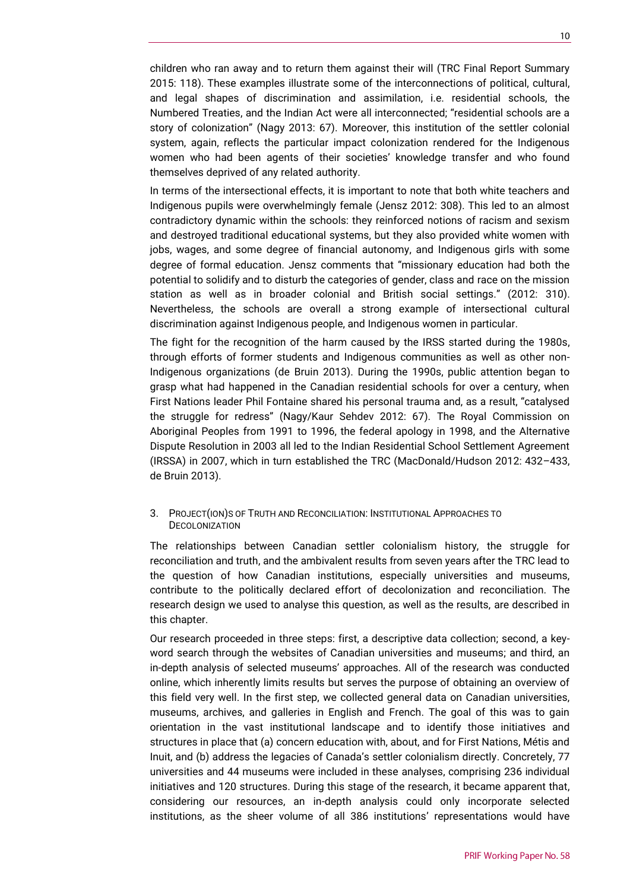children who ran away and to return them against their will (TRC Final Report Summary 2015: 118). These examples illustrate some of the interconnections of political, cultural, and legal shapes of discrimination and assimilation, i.e. residential schools, the Numbered Treaties, and the Indian Act were all interconnected; "residential schools are a story of colonization" (Nagy 2013: 67). Moreover, this institution of the settler colonial system, again, reflects the particular impact colonization rendered for the Indigenous women who had been agents of their societies' knowledge transfer and who found themselves deprived of any related authority.

In terms of the intersectional effects, it is important to note that both white teachers and Indigenous pupils were overwhelmingly female (Jensz 2012: 308). This led to an almost contradictory dynamic within the schools: they reinforced notions of racism and sexism and destroyed traditional educational systems, but they also provided white women with jobs, wages, and some degree of financial autonomy, and Indigenous girls with some degree of formal education. Jensz comments that "missionary education had both the potential to solidify and to disturb the categories of gender, class and race on the mission station as well as in broader colonial and British social settings." (2012: 310). Nevertheless, the schools are overall a strong example of intersectional cultural discrimination against Indigenous people, and Indigenous women in particular.

The fight for the recognition of the harm caused by the IRSS started during the 1980s, through efforts of former students and Indigenous communities as well as other non-Indigenous organizations (de Bruin 2013). During the 1990s, public attention began to grasp what had happened in the Canadian residential schools for over a century, when First Nations leader Phil Fontaine shared his personal trauma and, as a result, "catalysed the struggle for redress" (Nagy/Kaur Sehdev 2012: 67). The Royal Commission on Aboriginal Peoples from 1991 to 1996, the federal apology in 1998, and the Alternative Dispute Resolution in 2003 all led to the Indian Residential School Settlement Agreement (IRSSA) in 2007, which in turn established the TRC (MacDonald/Hudson 2012: 432–433, de Bruin 2013).

# <span id="page-10-0"></span>3. PROJECT(ION)S OF TRUTH AND RECONCILIATION: INSTITUTIONAL APPROACHES TO **DECOLONIZATION**

The relationships between Canadian settler colonialism history, the struggle for reconciliation and truth, and the ambivalent results from seven years after the TRC lead to the question of how Canadian institutions, especially universities and museums, contribute to the politically declared effort of decolonization and reconciliation. The research design we used to analyse this question, as well as the results, are described in this chapter.

Our research proceeded in three steps: first, a descriptive data collection; second, a keyword search through the websites of Canadian universities and museums; and third, an in-depth analysis of selected museums' approaches. All of the research was conducted online, which inherently limits results but serves the purpose of obtaining an overview of this field very well. In the first step, we collected general data on Canadian universities, museums, archives, and galleries in English and French. The goal of this was to gain orientation in the vast institutional landscape and to identify those initiatives and structures in place that (a) concern education with, about, and for First Nations, Métis and Inuit, and (b) address the legacies of Canada's settler colonialism directly. Concretely, 77 universities and 44 museums were included in these analyses, comprising 236 individual initiatives and 120 structures. During this stage of the research, it became apparent that, considering our resources, an in-depth analysis could only incorporate selected institutions, as the sheer volume of all 386 institutions' representations would have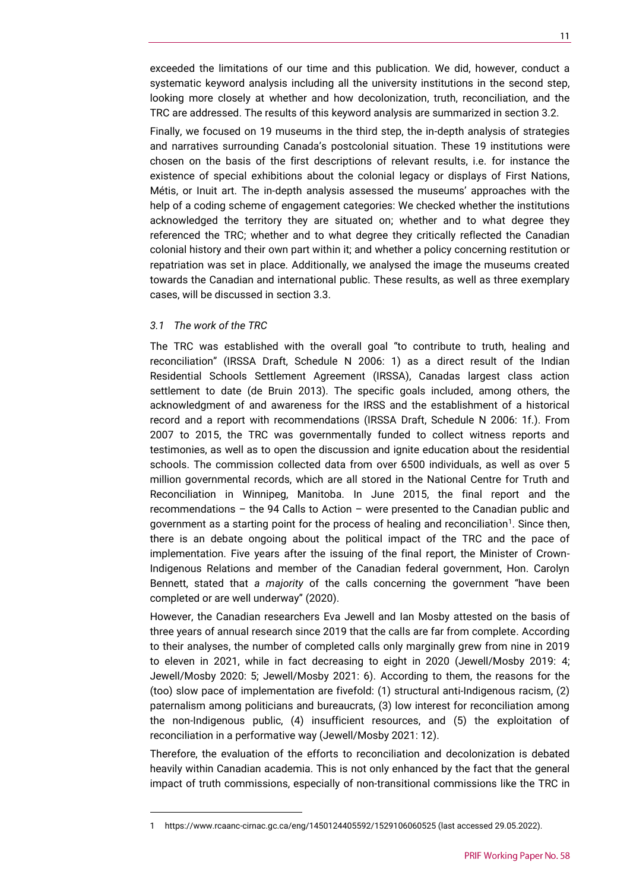exceeded the limitations of our time and this publication. We did, however, conduct a systematic keyword analysis including all the university institutions in the second step, looking more closely at whether and how decolonization, truth, reconciliation, and the TRC are addressed. The results of this keyword analysis are summarized in section 3.2.

Finally, we focused on 19 museums in the third step, the in-depth analysis of strategies and narratives surrounding Canada's postcolonial situation. These 19 institutions were chosen on the basis of the first descriptions of relevant results, i.e. for instance the existence of special exhibitions about the colonial legacy or displays of First Nations, Métis, or Inuit art. The in-depth analysis assessed the museums' approaches with the help of a coding scheme of engagement categories: We checked whether the institutions acknowledged the territory they are situated on; whether and to what degree they referenced the TRC; whether and to what degree they critically reflected the Canadian colonial history and their own part within it; and whether a policy concerning restitution or repatriation was set in place. Additionally, we analysed the image the museums created towards the Canadian and international public. These results, as well as three exemplary cases, will be discussed in section 3.3.

# <span id="page-11-0"></span>*3.1 The work of the TRC*

<u>.</u>

The TRC was established with the overall goal "to contribute to truth, healing and reconciliation" (IRSSA Draft, Schedule N 2006: 1) as a direct result of the Indian Residential Schools Settlement Agreement (IRSSA), Canadas largest class action settlement to date (de Bruin 2013). The specific goals included, among others, the acknowledgment of and awareness for the IRSS and the establishment of a historical record and a report with recommendations (IRSSA Draft, Schedule N 2006: 1f.). From 2007 to 2015, the TRC was governmentally funded to collect witness reports and testimonies, as well as to open the discussion and ignite education about the residential schools. The commission collected data from over 6500 individuals, as well as over 5 million governmental records, which are all stored in the National Centre for Truth and Reconciliation in Winnipeg, Manitoba. In June 2015, the final report and the recommendations – the 94 Calls to Action – were presented to the Canadian public and government as a starting point for the process of healing and reconciliation<sup>1</sup>. Since then, there is an debate ongoing about the political impact of the TRC and the pace of implementation. Five years after the issuing of the final report, the Minister of Crown-Indigenous Relations and member of the Canadian federal government, Hon. Carolyn Bennett, stated that *a majority* of the calls concerning the government "have been completed or are well underway" (2020).

However, the Canadian researchers Eva Jewell and Ian Mosby attested on the basis of three years of annual research since 2019 that the calls are far from complete. According to their analyses, the number of completed calls only marginally grew from nine in 2019 to eleven in 2021, while in fact decreasing to eight in 2020 (Jewell/Mosby 2019: 4; Jewell/Mosby 2020: 5; Jewell/Mosby 2021: 6). According to them, the reasons for the (too) slow pace of implementation are fivefold: (1) structural anti-Indigenous racism, (2) paternalism among politicians and bureaucrats, (3) low interest for reconciliation among the non-Indigenous public, (4) insufficient resources, and (5) the exploitation of reconciliation in a performative way (Jewell/Mosby 2021: 12).

Therefore, the evaluation of the efforts to reconciliation and decolonization is debated heavily within Canadian academia. This is not only enhanced by the fact that the general impact of truth commissions, especially of non-transitional commissions like the TRC in

<sup>1</sup> https://www.rcaanc-cirnac.gc.ca/eng/1450124405592/1529106060525 (last accessed 29.05.2022).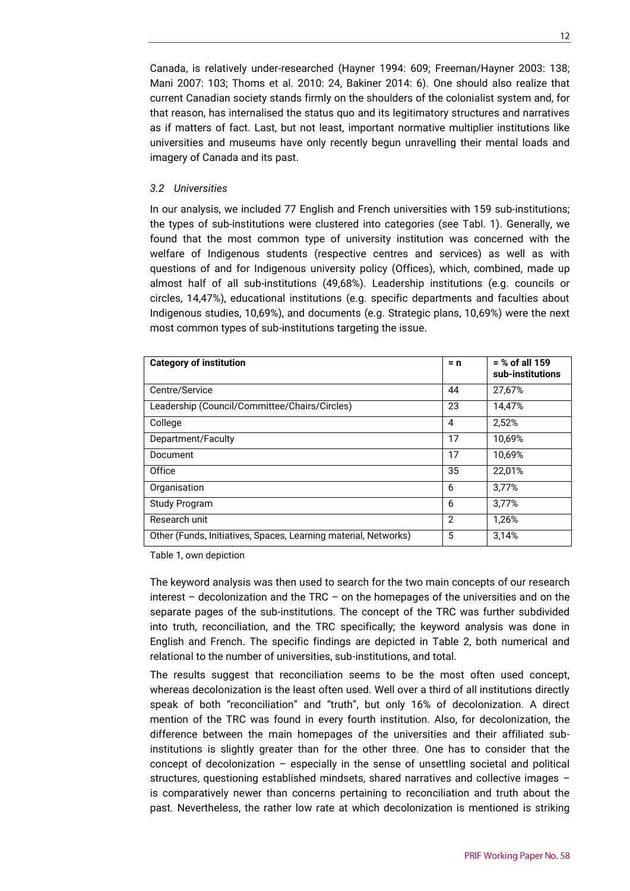Canada, is relatively under-researched (Hayner 1994: 609; Freeman/Hayner 2003: 138; Mani 2007: 103; Thoms et al. 2010: 24, Bakiner 2014: 6). One should also realize that current Canadian society stands firmly on the shoulders of the colonialist system and, for that reason, has internalised the status quo and its legitimatory structures and narratives as if matters of fact. Last, but not least, important normative multiplier institutions like universities and museums have only recently begun unravelling their mental loads and imagery of Canada and its past.

# <span id="page-12-0"></span>*3.2 Universities*

In our analysis, we included 77 English and French universities with 159 sub-institutions; the types of sub-institutions were clustered into categories (see Tabl. 1). Generally, we found that the most common type of university institution was concerned with the welfare of Indigenous students (respective centres and services) as well as with questions of and for Indigenous university policy (Offices), which, combined, made up almost half of all sub-institutions (49,68%). Leadership institutions (e.g. councils or circles, 14,47%), educational institutions (e.g. specific departments and faculties about Indigenous studies, 10,69%), and documents (e.g. Strategic plans, 10,69%) were the next most common types of sub-institutions targeting the issue.

| <b>Category of institution</b>                                  | $= n$          | $=$ % of all 159<br>sub-institutions |
|-----------------------------------------------------------------|----------------|--------------------------------------|
| Centre/Service                                                  | 44             | 27,67%                               |
| Leadership (Council/Committee/Chairs/Circles)                   | 23             | 14,47%                               |
| College                                                         | 4              | 2,52%                                |
| Department/Faculty                                              | 17             | 10,69%                               |
| Document                                                        | 17             | 10.69%                               |
| Office                                                          | 35             | 22.01%                               |
| Organisation                                                    | 6              | 3.77%                                |
| <b>Study Program</b>                                            | 6              | 3.77%                                |
| Research unit                                                   | $\overline{2}$ | 1,26%                                |
| Other (Funds, Initiatives, Spaces, Learning material, Networks) | 5              | 3.14%                                |

Table 1, own depiction

The keyword analysis was then used to search for the two main concepts of our research interest – decolonization and the TRC – on the homepages of the universities and on the separate pages of the sub-institutions. The concept of the TRC was further subdivided into truth, reconciliation, and the TRC specifically; the keyword analysis was done in English and French. The specific findings are depicted in Table 2, both numerical and relational to the number of universities, sub-institutions, and total.

The results suggest that reconciliation seems to be the most often used concept, whereas decolonization is the least often used. Well over a third of all institutions directly speak of both "reconciliation" and "truth", but only 16% of decolonization. A direct mention of the TRC was found in every fourth institution. Also, for decolonization, the difference between the main homepages of the universities and their affiliated subinstitutions is slightly greater than for the other three. One has to consider that the concept of decolonization – especially in the sense of unsettling societal and political structures, questioning established mindsets, shared narratives and collective images – is comparatively newer than concerns pertaining to reconciliation and truth about the past. Nevertheless, the rather low rate at which decolonization is mentioned is striking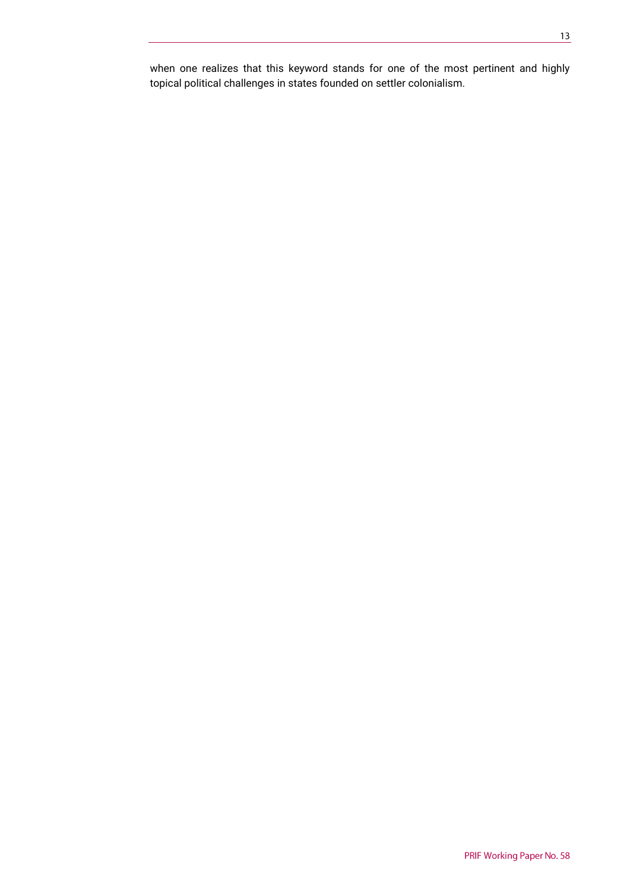when one realizes that this keyword stands for one of the most pertinent and highly topical political challenges in states founded on settler colonialism.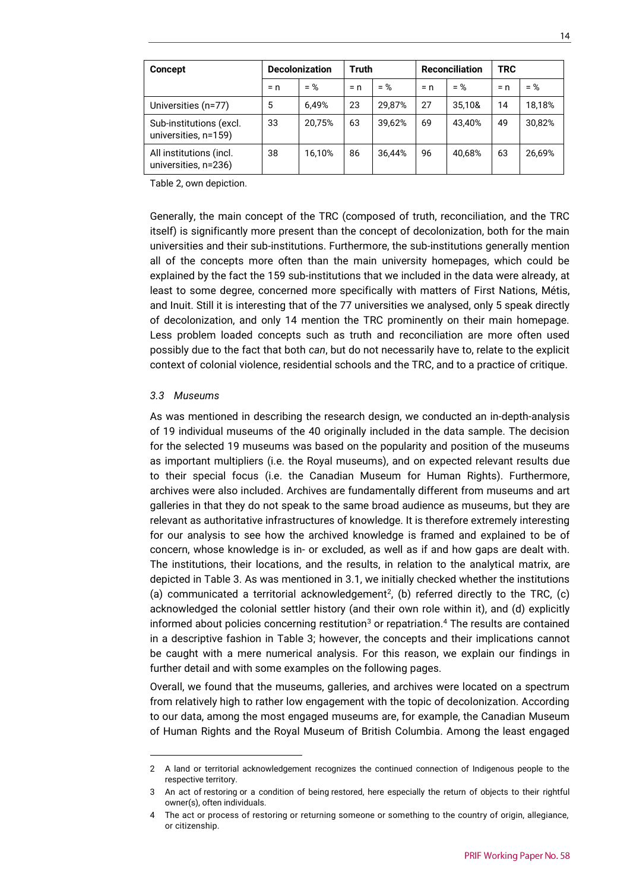| <b>Concept</b>                                  | <b>Decolonization</b> |        | <b>Truth</b> |        | <b>Reconciliation</b> |        | <b>TRC</b> |        |
|-------------------------------------------------|-----------------------|--------|--------------|--------|-----------------------|--------|------------|--------|
|                                                 | $= n$                 | $=$ %  | $= n$        | $=$ %  | $= n$                 | $=$ %  | $= n$      | $=$ %  |
| Universities (n=77)                             | 5                     | 6.49%  | 23           | 29.87% | 27                    | 35.10& | 14         | 18.18% |
| Sub-institutions (excl.<br>universities, n=159) | 33                    | 20.75% | 63           | 39.62% | 69                    | 43.40% | 49         | 30,82% |
| All institutions (incl.<br>universities, n=236) | 38                    | 16,10% | 86           | 36,44% | 96                    | 40.68% | 63         | 26,69% |

Table 2, own depiction.

Generally, the main concept of the TRC (composed of truth, reconciliation, and the TRC itself) is significantly more present than the concept of decolonization, both for the main universities and their sub-institutions. Furthermore, the sub-institutions generally mention all of the concepts more often than the main university homepages, which could be explained by the fact the 159 sub-institutions that we included in the data were already, at least to some degree, concerned more specifically with matters of First Nations, Métis, and Inuit. Still it is interesting that of the 77 universities we analysed, only 5 speak directly of decolonization, and only 14 mention the TRC prominently on their main homepage. Less problem loaded concepts such as truth and reconciliation are more often used possibly due to the fact that both *can*, but do not necessarily have to, relate to the explicit context of colonial violence, residential schools and the TRC, and to a practice of critique.

# <span id="page-14-0"></span>*3.3 Museums*

<u>.</u>

As was mentioned in describing the research design, we conducted an in-depth-analysis of 19 individual museums of the 40 originally included in the data sample. The decision for the selected 19 museums was based on the popularity and position of the museums as important multipliers (i.e. the Royal museums), and on expected relevant results due to their special focus (i.e. the Canadian Museum for Human Rights). Furthermore, archives were also included. Archives are fundamentally different from museums and art galleries in that they do not speak to the same broad audience as museums, but they are relevant as authoritative infrastructures of knowledge. It is therefore extremely interesting for our analysis to see how the archived knowledge is framed and explained to be of concern, whose knowledge is in- or excluded, as well as if and how gaps are dealt with. The institutions, their locations, and the results, in relation to the analytical matrix, are depicted in Table 3. As was mentioned in 3.1, we initially checked whether the institutions (a) communicated a territorial acknowledgement<sup>2</sup>, (b) referred directly to the TRC, (c) acknowledged the colonial settler history (and their own role within it), and (d) explicitly informed about policies concerning restitution<sup>3</sup> or repatriation.<sup>4</sup> The results are contained in a descriptive fashion in Table 3; however, the concepts and their implications cannot be caught with a mere numerical analysis. For this reason, we explain our findings in further detail and with some examples on the following pages.

Overall, we found that the museums, galleries, and archives were located on a spectrum from relatively high to rather low engagement with the topic of decolonization. According to our data, among the most engaged museums are, for example, the Canadian Museum of Human Rights and the Royal Museum of British Columbia. Among the least engaged

<sup>2</sup> A land or territorial acknowledgement recognizes the continued connection of Indigenous people to the respective territory.

<sup>3</sup> An act of restoring or a condition of being restored, here especially the return of objects to their rightful owner(s), often individuals.

<sup>4</sup> The act or process of restoring or returning someone or something to the country of origin, allegiance, or citizenship.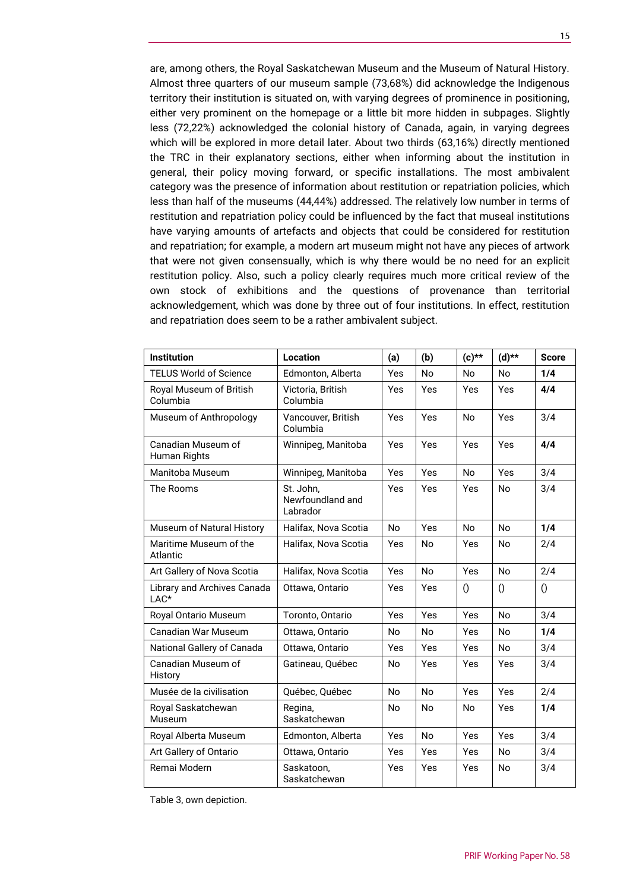are, among others, the Royal Saskatchewan Museum and the Museum of Natural History. Almost three quarters of our museum sample (73,68%) did acknowledge the Indigenous territory their institution is situated on, with varying degrees of prominence in positioning, either very prominent on the homepage or a little bit more hidden in subpages. Slightly less (72,22%) acknowledged the colonial history of Canada, again, in varying degrees which will be explored in more detail later. About two thirds (63,16%) directly mentioned the TRC in their explanatory sections, either when informing about the institution in general, their policy moving forward, or specific installations. The most ambivalent category was the presence of information about restitution or repatriation policies, which less than half of the museums (44,44%) addressed. The relatively low number in terms of restitution and repatriation policy could be influenced by the fact that museal institutions have varying amounts of artefacts and objects that could be considered for restitution and repatriation; for example, a modern art museum might not have any pieces of artwork that were not given consensually, which is why there would be no need for an explicit restitution policy. Also, such a policy clearly requires much more critical review of the own stock of exhibitions and the questions of provenance than territorial acknowledgement, which was done by three out of four institutions. In effect, restitution and repatriation does seem to be a rather ambivalent subject.

| <b>Institution</b>                  | <b>Location</b>                           | (a)        | (b)       | $(c)$ **   | $(*b)$     | <b>Score</b> |
|-------------------------------------|-------------------------------------------|------------|-----------|------------|------------|--------------|
| <b>TELUS World of Science</b>       | Edmonton, Alberta                         | Yes        | No        | <b>No</b>  | <b>No</b>  | 1/4          |
| Royal Museum of British<br>Columbia | Victoria, British<br>Columbia             | Yes        | Yes       | <b>Yes</b> | <b>Yes</b> | 4/4          |
| Museum of Anthropology              | Vancouver, British<br>Columbia            | Yes        | Yes       | <b>No</b>  | Yes        | 3/4          |
| Canadian Museum of<br>Human Rights  | Winnipeg, Manitoba                        | Yes        | Yes       | <b>Yes</b> | Yes        | 4/4          |
| Manitoba Museum                     | Winnipeg, Manitoba                        | Yes        | Yes       | <b>No</b>  | Yes        | 3/4          |
| The Rooms                           | St. John,<br>Newfoundland and<br>Labrador | Yes        | Yes       | <b>Yes</b> | <b>No</b>  | 3/4          |
| Museum of Natural History           | Halifax, Nova Scotia                      | <b>No</b>  | Yes       | <b>No</b>  | <b>No</b>  | 1/4          |
| Maritime Museum of the<br>Atlantic  | Halifax, Nova Scotia                      | Yes        | <b>No</b> | <b>Yes</b> | <b>No</b>  | 2/4          |
| Art Gallery of Nova Scotia          | Halifax, Nova Scotia                      | <b>Yes</b> | <b>No</b> | <b>Yes</b> | <b>No</b>  | 2/4          |
| Library and Archives Canada<br>LAC* | Ottawa, Ontario                           | Yes        | Yes       | $\theta$   | $\theta$   | $\theta$     |
| Royal Ontario Museum                | Toronto, Ontario                          | Yes        | Yes       | <b>Yes</b> | <b>No</b>  | 3/4          |
| Canadian War Museum                 | Ottawa, Ontario                           | <b>No</b>  | No        | Yes        | <b>No</b>  | 1/4          |
| National Gallery of Canada          | Ottawa, Ontario                           | Yes        | Yes       | <b>Yes</b> | <b>No</b>  | 3/4          |
| Canadian Museum of<br>History       | Gatineau, Québec                          | No.        | Yes       | <b>Yes</b> | Yes        | 3/4          |
| Musée de la civilisation            | Québec, Québec                            | <b>No</b>  | No        | Yes        | Yes        | 2/4          |
| Royal Saskatchewan<br>Museum        | Regina,<br>Saskatchewan                   | <b>No</b>  | <b>No</b> | <b>No</b>  | Yes        | 1/4          |
| Royal Alberta Museum                | Edmonton, Alberta                         | Yes        | No        | Yes        | Yes        | 3/4          |
| Art Gallery of Ontario              | Ottawa, Ontario                           | Yes        | Yes       | <b>Yes</b> | <b>No</b>  | 3/4          |
| Remai Modern                        | Saskatoon,<br>Saskatchewan                | Yes        | Yes       | Yes        | <b>No</b>  | 3/4          |

Table 3, own depiction.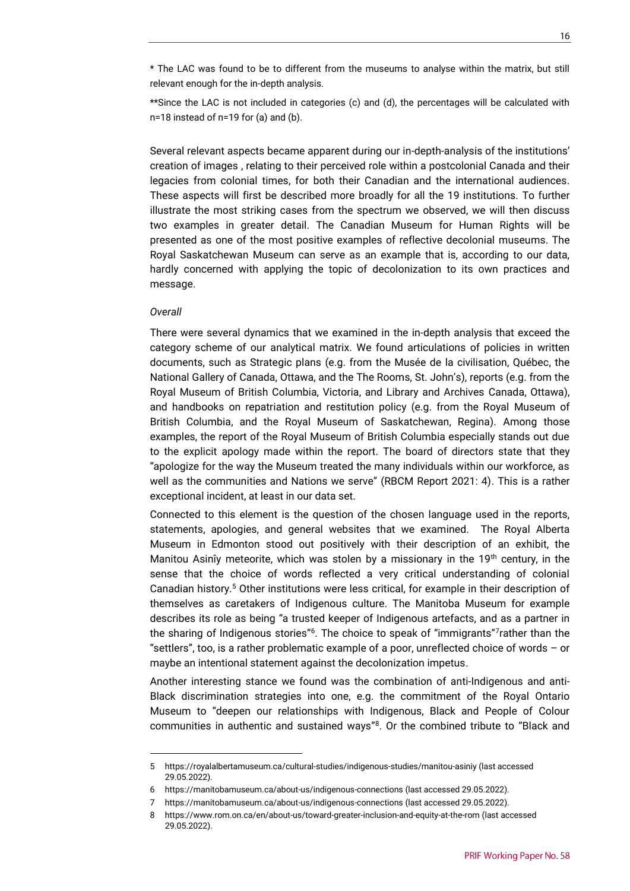\* The LAC was found to be to different from the museums to analyse within the matrix, but still relevant enough for the in-depth analysis.

\*\*Since the LAC is not included in categories (c) and (d), the percentages will be calculated with n=18 instead of n=19 for (a) and (b).

Several relevant aspects became apparent during our in-depth-analysis of the institutions' creation of images , relating to their perceived role within a postcolonial Canada and their legacies from colonial times, for both their Canadian and the international audiences. These aspects will first be described more broadly for all the 19 institutions. To further illustrate the most striking cases from the spectrum we observed, we will then discuss two examples in greater detail. The Canadian Museum for Human Rights will be presented as one of the most positive examples of reflective decolonial museums. The Royal Saskatchewan Museum can serve as an example that is, according to our data, hardly concerned with applying the topic of decolonization to its own practices and message.

#### *Overall*

1

There were several dynamics that we examined in the in-depth analysis that exceed the category scheme of our analytical matrix. We found articulations of policies in written documents, such as Strategic plans (e.g. from the Musée de la civilisation, Québec, the National Gallery of Canada, Ottawa, and the The Rooms, St. John's), reports (e.g. from the Royal Museum of British Columbia, Victoria, and Library and Archives Canada, Ottawa), and handbooks on repatriation and restitution policy (e.g. from the Royal Museum of British Columbia, and the Royal Museum of Saskatchewan, Regina). Among those examples, the report of the Royal Museum of British Columbia especially stands out due to the explicit apology made within the report. The board of directors state that they "apologize for the way the Museum treated the many individuals within our workforce, as well as the communities and Nations we serve" (RBCM Report 2021: 4). This is a rather exceptional incident, at least in our data set.

Connected to this element is the question of the chosen language used in the reports, statements, apologies, and general websites that we examined. The Royal Alberta Museum in Edmonton stood out positively with their description of an exhibit, the Manitou Asinîy meteorite, which was stolen by a missionary in the  $19<sup>th</sup>$  century, in the sense that the choice of words reflected a very critical understanding of colonial Canadian history.<sup>5</sup> Other institutions were less critical, for example in their description of themselves as caretakers of Indigenous culture. The Manitoba Museum for example describes its role as being "a trusted keeper of Indigenous artefacts, and as a partner in the sharing of Indigenous stories<sup>"6</sup>. The choice to speak of "immigrants"7rather than the "settlers", too, is a rather problematic example of a poor, unreflected choice of words – or maybe an intentional statement against the decolonization impetus.

Another interesting stance we found was the combination of anti-Indigenous and anti-Black discrimination strategies into one, e.g. the commitment of the Royal Ontario Museum to "deepen our relationships with Indigenous, Black and People of Colour communities in authentic and sustained ways"<sup>8</sup>. Or the combined tribute to "Black and

<sup>5</sup> https://royalalbertamuseum.ca/cultural-studies/indigenous-studies/manitou-asiniy (last accessed 29.05.2022).

<sup>6</sup> https://manitobamuseum.ca/about-us/indigenous-connections (last accessed 29.05.2022).

<sup>7</sup> https://manitobamuseum.ca/about-us/indigenous-connections (last accessed 29.05.2022).

<sup>8</sup> https://www.rom.on.ca/en/about-us/toward-greater-inclusion-and-equity-at-the-rom (last accessed 29.05.2022).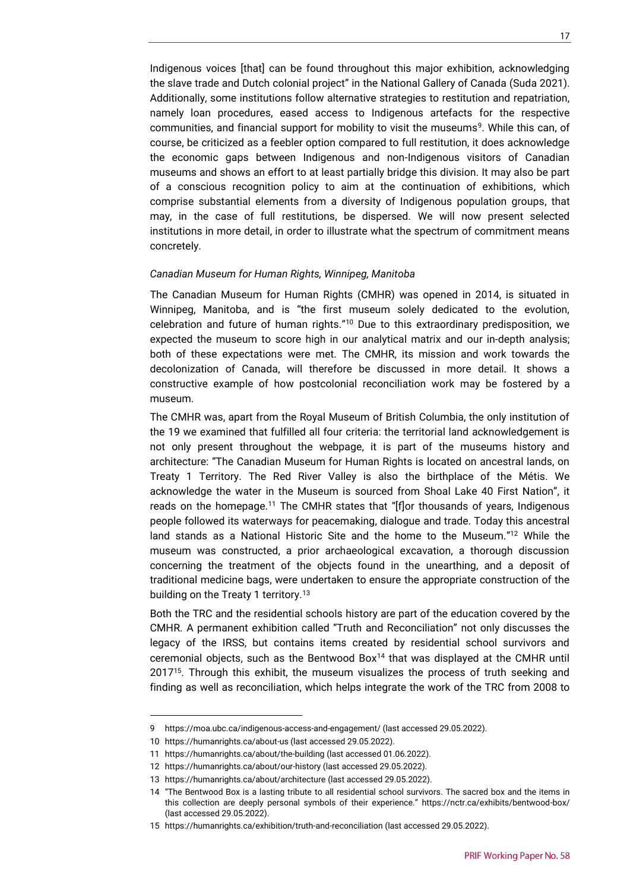Indigenous voices [that] can be found throughout this major exhibition, acknowledging the slave trade and Dutch colonial project" in the National Gallery of Canada (Suda 2021). Additionally, some institutions follow alternative strategies to restitution and repatriation, namely loan procedures, eased access to Indigenous artefacts for the respective communities, and financial support for mobility to visit the museums<sup>9</sup>. While this can, of course, be criticized as a feebler option compared to full restitution, it does acknowledge the economic gaps between Indigenous and non-Indigenous visitors of Canadian museums and shows an effort to at least partially bridge this division. It may also be part of a conscious recognition policy to aim at the continuation of exhibitions, which comprise substantial elements from a diversity of Indigenous population groups, that may, in the case of full restitutions, be dispersed. We will now present selected institutions in more detail, in order to illustrate what the spectrum of commitment means concretely.

# *Canadian Museum for Human Rights, Winnipeg, Manitoba*

The Canadian Museum for Human Rights (CMHR) was opened in 2014, is situated in Winnipeg, Manitoba, and is "the first museum solely dedicated to the evolution, celebration and future of human rights."<sup>10</sup> Due to this extraordinary predisposition, we expected the museum to score high in our analytical matrix and our in-depth analysis; both of these expectations were met. The CMHR, its mission and work towards the decolonization of Canada, will therefore be discussed in more detail. It shows a constructive example of how postcolonial reconciliation work may be fostered by a museum.

The CMHR was, apart from the Royal Museum of British Columbia, the only institution of the 19 we examined that fulfilled all four criteria: the territorial land acknowledgement is not only present throughout the webpage, it is part of the museums history and architecture: "The Canadian Museum for Human Rights is located on ancestral lands, on Treaty 1 Territory. The Red River Valley is also the birthplace of the Métis. We acknowledge the water in the Museum is sourced from Shoal Lake 40 First Nation", it reads on the homepage.<sup>11</sup> The CMHR states that "[f]or thousands of years, Indigenous people followed its waterways for peacemaking, dialogue and trade. Today this ancestral land stands as a National Historic Site and the home to the Museum." <sup>12</sup> While the museum was constructed, a prior archaeological excavation, a thorough discussion concerning the treatment of the objects found in the unearthing, and a deposit of traditional medicine bags, were undertaken to ensure the appropriate construction of the building on the Treaty 1 territory.<sup>13</sup>

Both the TRC and the residential schools history are part of the education covered by the CMHR. A permanent exhibition called "Truth and Reconciliation" not only discusses the legacy of the IRSS, but contains items created by residential school survivors and ceremonial objects, such as the Bentwood  $Box<sup>14</sup>$  that was displayed at the CMHR until 2017<sup>15</sup>. Through this exhibit, the museum visualizes the process of truth seeking and finding as well as reconciliation, which helps integrate the work of the TRC from 2008 to

1

<sup>9</sup> https://moa.ubc.ca/indigenous-access-and-engagement/ (last accessed 29.05.2022).

<sup>10</sup> https://humanrights.ca/about-us (last accessed 29.05.2022).

<sup>11</sup> https://humanrights.ca/about/the-building (last accessed 01.06.2022).

<sup>12</sup> https://humanrights.ca/about/our-history (last accessed 29.05.2022).

<sup>13</sup> https://humanrights.ca/about/architecture (last accessed 29.05.2022).

<sup>14</sup> "The Bentwood Box is a lasting tribute to all residential school survivors. The sacred box and the items in this collection are deeply personal symbols of their experience." https://nctr.ca/exhibits/bentwood-box/ (last accessed 29.05.2022).

<sup>15</sup> https://humanrights.ca/exhibition/truth-and-reconciliation (last accessed 29.05.2022).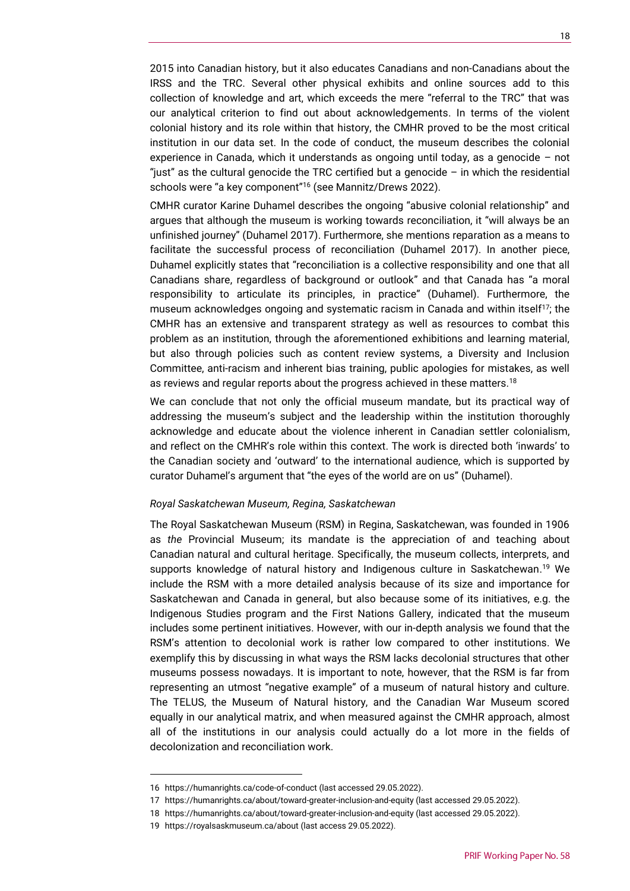2015 into Canadian history, but it also educates Canadians and non-Canadians about the IRSS and the TRC. Several other physical exhibits and online sources add to this collection of knowledge and art, which exceeds the mere "referral to the TRC" that was our analytical criterion to find out about acknowledgements. In terms of the violent colonial history and its role within that history, the CMHR proved to be the most critical institution in our data set. In the code of conduct, the museum describes the colonial experience in Canada, which it understands as ongoing until today, as a genocide – not "just" as the cultural genocide the TRC certified but a genocide – in which the residential schools were "a key component"<sup>16</sup> (see Mannitz/Drews 2022).

CMHR curator Karine Duhamel describes the ongoing "abusive colonial relationship" and argues that although the museum is working towards reconciliation, it "will always be an unfinished journey" (Duhamel 2017). Furthermore, she mentions reparation as a means to facilitate the successful process of reconciliation (Duhamel 2017). In another piece, Duhamel explicitly states that "reconciliation is a collective responsibility and one that all Canadians share, regardless of background or outlook" and that Canada has "a moral responsibility to articulate its principles, in practice" (Duhamel). Furthermore, the museum acknowledges ongoing and systematic racism in Canada and within itself<sup>17</sup>; the CMHR has an extensive and transparent strategy as well as resources to combat this problem as an institution, through the aforementioned exhibitions and learning material, but also through policies such as content review systems, a Diversity and Inclusion Committee, anti-racism and inherent bias training, public apologies for mistakes, as well as reviews and regular reports about the progress achieved in these matters.<sup>18</sup>

We can conclude that not only the official museum mandate, but its practical way of addressing the museum's subject and the leadership within the institution thoroughly acknowledge and educate about the violence inherent in Canadian settler colonialism, and reflect on the CMHR's role within this context. The work is directed both 'inwards' to the Canadian society and 'outward' to the international audience, which is supported by curator Duhamel's argument that "the eyes of the world are on us" (Duhamel).

# *Royal Saskatchewan Museum, Regina, Saskatchewan*

The Royal Saskatchewan Museum (RSM) in Regina, Saskatchewan, was founded in 1906 as *the* Provincial Museum; its mandate is the appreciation of and teaching about Canadian natural and cultural heritage. Specifically, the museum collects, interprets, and supports knowledge of natural history and Indigenous culture in Saskatchewan. <sup>19</sup> We include the RSM with a more detailed analysis because of its size and importance for Saskatchewan and Canada in general, but also because some of its initiatives, e.g. the Indigenous Studies program and the First Nations Gallery, indicated that the museum includes some pertinent initiatives. However, with our in-depth analysis we found that the RSM's attention to decolonial work is rather low compared to other institutions. We exemplify this by discussing in what ways the RSM lacks decolonial structures that other museums possess nowadays. It is important to note, however, that the RSM is far from representing an utmost "negative example" of a museum of natural history and culture. The TELUS, the Museum of Natural history, and the Canadian War Museum scored equally in our analytical matrix, and when measured against the CMHR approach, almost all of the institutions in our analysis could actually do a lot more in the fields of decolonization and reconciliation work.

<u>.</u>

<sup>16</sup> https://humanrights.ca/code-of-conduct (last accessed 29.05.2022).

<sup>17</sup> https://humanrights.ca/about/toward-greater-inclusion-and-equity (last accessed 29.05.2022).

<sup>18</sup> https://humanrights.ca/about/toward-greater-inclusion-and-equity (last accessed 29.05.2022).

<sup>19</sup> https://royalsaskmuseum.ca/about (last access 29.05.2022).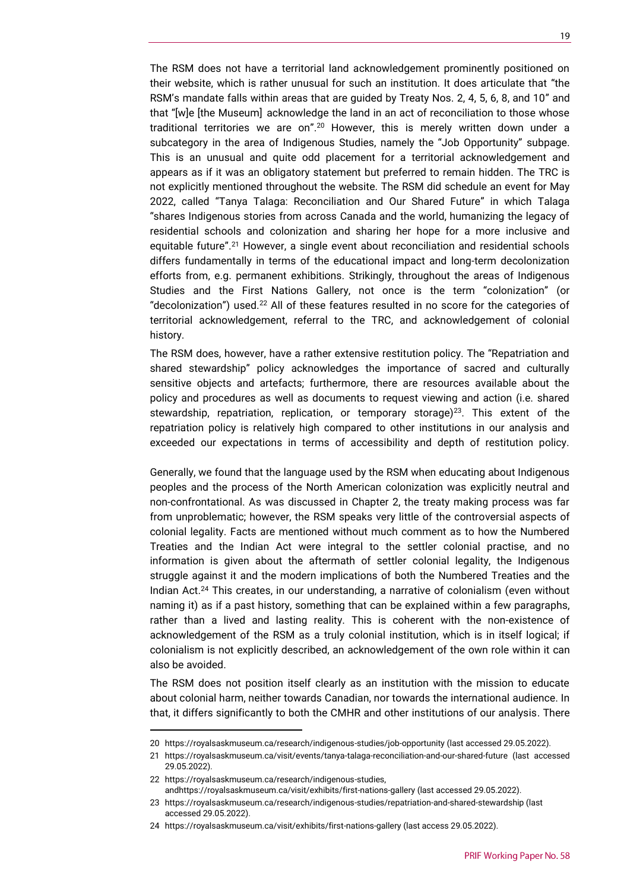The RSM does not have a territorial land acknowledgement prominently positioned on their website, which is rather unusual for such an institution. It does articulate that "the RSM's mandate falls within areas that are guided by Treaty Nos. 2, 4, 5, 6, 8, and 10" and that "[w]e [the Museum] acknowledge the land in an act of reconciliation to those whose traditional territories we are on".<sup>20</sup> However, this is merely written down under a subcategory in the area of Indigenous Studies, namely the "Job Opportunity" subpage. This is an unusual and quite odd placement for a territorial acknowledgement and appears as if it was an obligatory statement but preferred to remain hidden. The TRC is not explicitly mentioned throughout the website. The RSM did schedule an event for May 2022, called "Tanya Talaga: Reconciliation and Our Shared Future" in which Talaga "shares Indigenous stories from across Canada and the world, humanizing the legacy of residential schools and colonization and sharing her hope for a more inclusive and equitable future". <sup>21</sup> However, a single event about reconciliation and residential schools differs fundamentally in terms of the educational impact and long-term decolonization efforts from, e.g. permanent exhibitions. Strikingly, throughout the areas of Indigenous Studies and the First Nations Gallery, not once is the term "colonization" (or "decolonization") used.<sup>22</sup> All of these features resulted in no score for the categories of territorial acknowledgement, referral to the TRC, and acknowledgement of colonial history.

The RSM does, however, have a rather extensive restitution policy. The "Repatriation and shared stewardship" policy acknowledges the importance of sacred and culturally sensitive objects and artefacts; furthermore, there are resources available about the policy and procedures as well as documents to request viewing and action (i.e. shared stewardship, repatriation, replication, or temporary storage) $^{23}$ . This extent of the repatriation policy is relatively high compared to other institutions in our analysis and exceeded our expectations in terms of accessibility and depth of restitution policy.

Generally, we found that the language used by the RSM when educating about Indigenous peoples and the process of the North American colonization was explicitly neutral and non-confrontational. As was discussed in Chapter 2, the treaty making process was far from unproblematic; however, the RSM speaks very little of the controversial aspects of colonial legality. Facts are mentioned without much comment as to how the Numbered Treaties and the Indian Act were integral to the settler colonial practise, and no information is given about the aftermath of settler colonial legality, the Indigenous struggle against it and the modern implications of both the Numbered Treaties and the Indian Act. <sup>24</sup> This creates, in our understanding, a narrative of colonialism (even without naming it) as if a past history, something that can be explained within a few paragraphs, rather than a lived and lasting reality. This is coherent with the non-existence of acknowledgement of the RSM as a truly colonial institution, which is in itself logical; if colonialism is not explicitly described, an acknowledgement of the own role within it can also be avoided.

The RSM does not position itself clearly as an institution with the mission to educate about colonial harm, neither towards Canadian, nor towards the international audience. In that, it differs significantly to both the CMHR and other institutions of our analysis. There

1

<sup>20</sup> https://royalsaskmuseum.ca/research/indigenous-studies/job-opportunity (last accessed 29.05.2022).

<sup>21</sup> https://royalsaskmuseum.ca/visit/events/tanya-talaga-reconciliation-and-our-shared-future (last accessed 29.05.2022).

<sup>22</sup> https://royalsaskmuseum.ca/research/indigenous-studies, andhttps://royalsaskmuseum.ca/visit/exhibits/first-nations-gallery (last accessed 29.05.2022).

<sup>23</sup> https://royalsaskmuseum.ca/research/indigenous-studies/repatriation-and-shared-stewardship (last accessed 29.05.2022).

<sup>24</sup> https://royalsaskmuseum.ca/visit/exhibits/first-nations-gallery (last access 29.05.2022).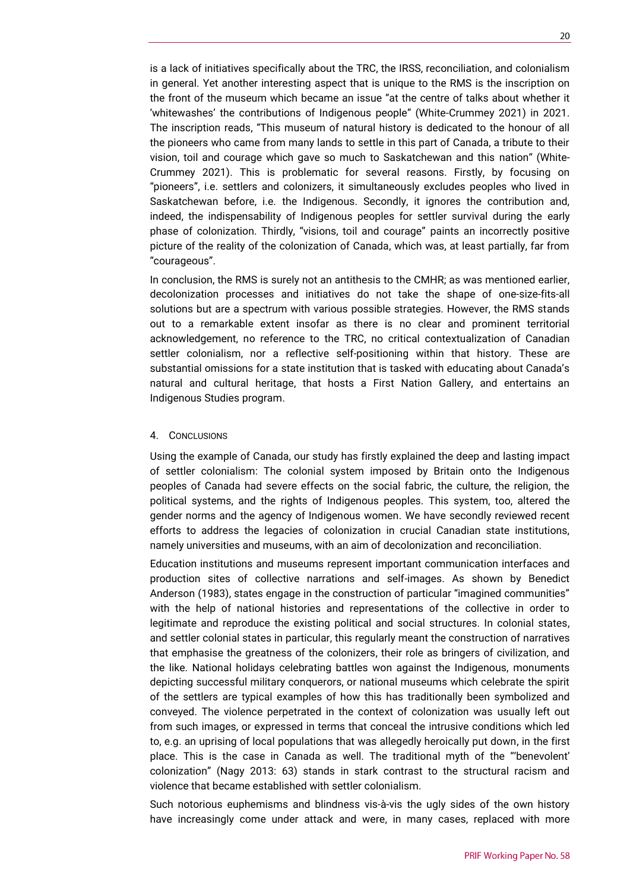is a lack of initiatives specifically about the TRC, the IRSS, reconciliation, and colonialism in general. Yet another interesting aspect that is unique to the RMS is the inscription on the front of the museum which became an issue "at the centre of talks about whether it 'whitewashes' the contributions of Indigenous people" (White-Crummey 2021) in 2021. The inscription reads, "This museum of natural history is dedicated to the honour of all the pioneers who came from many lands to settle in this part of Canada, a tribute to their vision, toil and courage which gave so much to Saskatchewan and this nation" (White-Crummey 2021). This is problematic for several reasons. Firstly, by focusing on "pioneers", i.e. settlers and colonizers, it simultaneously excludes peoples who lived in Saskatchewan before, i.e. the Indigenous. Secondly, it ignores the contribution and, indeed, the indispensability of Indigenous peoples for settler survival during the early phase of colonization. Thirdly, "visions, toil and courage" paints an incorrectly positive picture of the reality of the colonization of Canada, which was, at least partially, far from "courageous".

In conclusion, the RMS is surely not an antithesis to the CMHR; as was mentioned earlier, decolonization processes and initiatives do not take the shape of one-size-fits-all solutions but are a spectrum with various possible strategies. However, the RMS stands out to a remarkable extent insofar as there is no clear and prominent territorial acknowledgement, no reference to the TRC, no critical contextualization of Canadian settler colonialism, nor a reflective self-positioning within that history. These are substantial omissions for a state institution that is tasked with educating about Canada's natural and cultural heritage, that hosts a First Nation Gallery, and entertains an Indigenous Studies program.

# <span id="page-20-0"></span>4. CONCLUSIONS

Using the example of Canada, our study has firstly explained the deep and lasting impact of settler colonialism: The colonial system imposed by Britain onto the Indigenous peoples of Canada had severe effects on the social fabric, the culture, the religion, the political systems, and the rights of Indigenous peoples. This system, too, altered the gender norms and the agency of Indigenous women. We have secondly reviewed recent efforts to address the legacies of colonization in crucial Canadian state institutions, namely universities and museums, with an aim of decolonization and reconciliation.

Education institutions and museums represent important communication interfaces and production sites of collective narrations and self-images. As shown by Benedict Anderson (1983), states engage in the construction of particular "imagined communities" with the help of national histories and representations of the collective in order to legitimate and reproduce the existing political and social structures. In colonial states, and settler colonial states in particular, this regularly meant the construction of narratives that emphasise the greatness of the colonizers, their role as bringers of civilization, and the like. National holidays celebrating battles won against the Indigenous, monuments depicting successful military conquerors, or national museums which celebrate the spirit of the settlers are typical examples of how this has traditionally been symbolized and conveyed. The violence perpetrated in the context of colonization was usually left out from such images, or expressed in terms that conceal the intrusive conditions which led to, e.g. an uprising of local populations that was allegedly heroically put down, in the first place. This is the case in Canada as well. The traditional myth of the "'benevolent' colonization" (Nagy 2013: 63) stands in stark contrast to the structural racism and violence that became established with settler colonialism.

Such notorious euphemisms and blindness vis-à-vis the ugly sides of the own history have increasingly come under attack and were, in many cases, replaced with more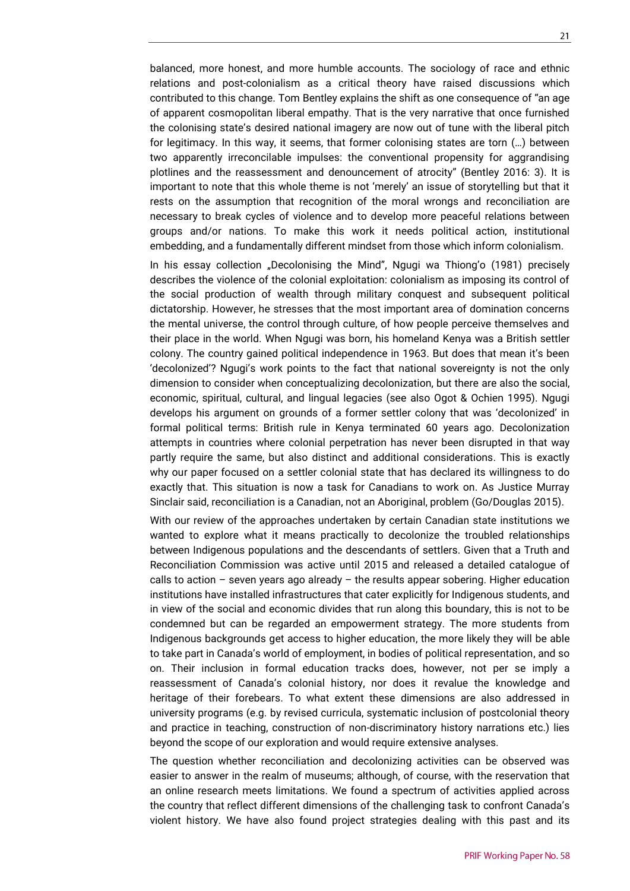balanced, more honest, and more humble accounts. The sociology of race and ethnic relations and post-colonialism as a critical theory have raised discussions which contributed to this change. Tom Bentley explains the shift as one consequence of "an age of apparent cosmopolitan liberal empathy. That is the very narrative that once furnished the colonising state's desired national imagery are now out of tune with the liberal pitch for legitimacy. In this way, it seems, that former colonising states are torn (…) between two apparently irreconcilable impulses: the conventional propensity for aggrandising plotlines and the reassessment and denouncement of atrocity" (Bentley 2016: 3). It is important to note that this whole theme is not 'merely' an issue of storytelling but that it rests on the assumption that recognition of the moral wrongs and reconciliation are necessary to break cycles of violence and to develop more peaceful relations between groups and/or nations. To make this work it needs political action, institutional embedding, and a fundamentally different mindset from those which inform colonialism.

In his essay collection "Decolonising the Mind", Ngugi wa Thiong'o (1981) precisely describes the violence of the colonial exploitation: colonialism as imposing its control of the social production of wealth through military conquest and subsequent political dictatorship. However, he stresses that the most important area of domination concerns the mental universe, the control through culture, of how people perceive themselves and their place in the world. When Ngugi was born, his homeland Kenya was a British settler colony. The country gained political independence in 1963. But does that mean it's been 'decolonized'? Ngugi's work points to the fact that national sovereignty is not the only dimension to consider when conceptualizing decolonization, but there are also the social, economic, spiritual, cultural, and lingual legacies (see also Ogot & Ochien 1995). Ngugi develops his argument on grounds of a former settler colony that was 'decolonized' in formal political terms: British rule in Kenya terminated 60 years ago. Decolonization attempts in countries where colonial perpetration has never been disrupted in that way partly require the same, but also distinct and additional considerations. This is exactly why our paper focused on a settler colonial state that has declared its willingness to do exactly that. This situation is now a task for Canadians to work on. As Justice Murray Sinclair said, reconciliation is a Canadian, not an Aboriginal, problem (Go/Douglas 2015).

With our review of the approaches undertaken by certain Canadian state institutions we wanted to explore what it means practically to decolonize the troubled relationships between Indigenous populations and the descendants of settlers. Given that a Truth and Reconciliation Commission was active until 2015 and released a detailed catalogue of calls to action  $-$  seven years ago already  $-$  the results appear sobering. Higher education institutions have installed infrastructures that cater explicitly for Indigenous students, and in view of the social and economic divides that run along this boundary, this is not to be condemned but can be regarded an empowerment strategy. The more students from Indigenous backgrounds get access to higher education, the more likely they will be able to take part in Canada's world of employment, in bodies of political representation, and so on. Their inclusion in formal education tracks does, however, not per se imply a reassessment of Canada's colonial history, nor does it revalue the knowledge and heritage of their forebears. To what extent these dimensions are also addressed in university programs (e.g. by revised curricula, systematic inclusion of postcolonial theory and practice in teaching, construction of non-discriminatory history narrations etc.) lies beyond the scope of our exploration and would require extensive analyses.

The question whether reconciliation and decolonizing activities can be observed was easier to answer in the realm of museums; although, of course, with the reservation that an online research meets limitations. We found a spectrum of activities applied across the country that reflect different dimensions of the challenging task to confront Canada's violent history. We have also found project strategies dealing with this past and its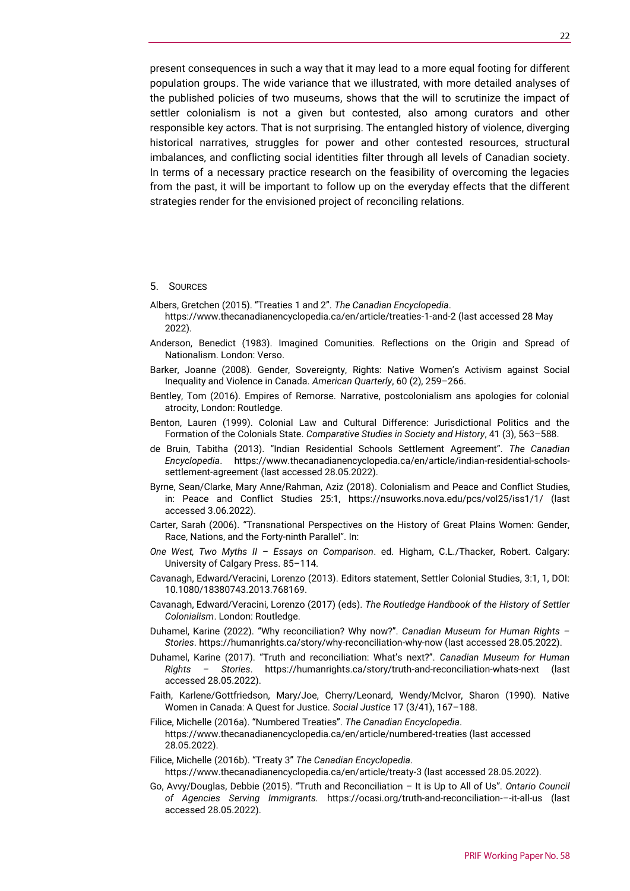present consequences in such a way that it may lead to a more equal footing for different population groups. The wide variance that we illustrated, with more detailed analyses of the published policies of two museums, shows that the will to scrutinize the impact of settler colonialism is not a given but contested, also among curators and other responsible key actors. That is not surprising. The entangled history of violence, diverging historical narratives, struggles for power and other contested resources, structural imbalances, and conflicting social identities filter through all levels of Canadian society. In terms of a necessary practice research on the feasibility of overcoming the legacies from the past, it will be important to follow up on the everyday effects that the different strategies render for the envisioned project of reconciling relations.

#### <span id="page-22-0"></span>5. SOURCES

- Albers, Gretchen (2015). "Treaties 1 and 2". *The Canadian Encyclopedia*.
	- https://www.thecanadianencyclopedia.ca/en/article/treaties-1-and-2 (last accessed 28 May 2022).
- Anderson, Benedict (1983). Imagined Comunities. Reflections on the Origin and Spread of Nationalism. London: Verso.
- Barker, Joanne (2008). Gender, Sovereignty, Rights: Native Women's Activism against Social Inequality and Violence in Canada. *American Quarterly*, 60 (2), 259–266.
- Bentley, Tom (2016). Empires of Remorse. Narrative, postcolonialism ans apologies for colonial atrocity, London: Routledge.
- Benton, Lauren (1999). Colonial Law and Cultural Difference: Jurisdictional Politics and the Formation of the Colonials State. *Comparative Studies in Society and History*, 41 (3), 563–588.
- de Bruin, Tabitha (2013). "Indian Residential Schools Settlement Agreement". *The Canadian Encyclopedia*. https://www.thecanadianencyclopedia.ca/en/article/indian-residential-schoolssettlement-agreement (last accessed 28.05.2022).
- Byrne, Sean/Clarke, Mary Anne/Rahman, Aziz (2018). Colonialism and Peace and Conflict Studies, in: Peace and Conflict Studies 25:1, https://nsuworks.nova.edu/pcs/vol25/iss1/1/ (last accessed 3.06.2022).
- Carter, Sarah (2006). "Transnational Perspectives on the History of Great Plains Women: Gender, Race, Nations, and the Forty-ninth Parallel". In:
- *One West, Two Myths II – Essays on Comparison*. ed. Higham, C.L./Thacker, Robert. Calgary: University of Calgary Press. 85–114.
- Cavanagh, Edward/Veracini, Lorenzo (2013). Editors statement, Settler Colonial Studies, 3:1, 1, DOI: 10.1080/18380743.2013.768169.
- Cavanagh, Edward/Veracini, Lorenzo (2017) (eds). *The Routledge Handbook of the History of Settler Colonialism*. London: Routledge.
- Duhamel, Karine (2022). "Why reconciliation? Why now?". *Canadian Museum for Human Rights – Stories*. https://humanrights.ca/story/why-reconciliation-why-now (last accessed 28.05.2022).
- Duhamel, Karine (2017). "Truth and reconciliation: What's next?". *Canadian Museum for Human Rights – Stories*. https://humanrights.ca/story/truth-and-reconciliation-whats-next (last accessed 28.05.2022).
- Faith, Karlene/Gottfriedson, Mary/Joe, Cherry/Leonard, Wendy/McIvor, Sharon (1990). Native Women in Canada: A Quest for Justice. *Social Justice* 17 (3/41), 167–188.
- Filice, Michelle (2016a). "Numbered Treaties". *The Canadian Encyclopedia*. https://www.thecanadianencyclopedia.ca/en/article/numbered-treaties (last accessed 28.05.2022).
- Filice, Michelle (2016b). "Treaty 3" *The Canadian Encyclopedia*. https://www.thecanadianencyclopedia.ca/en/article/treaty-3 (last accessed 28.05.2022).
- Go, Avvy/Douglas, Debbie (2015). "Truth and Reconciliation It is Up to All of Us". *Ontario Council of Agencies Serving Immigrants.* https://ocasi.org/truth-and-reconciliation-–-it-all-us (last accessed 28.05.2022).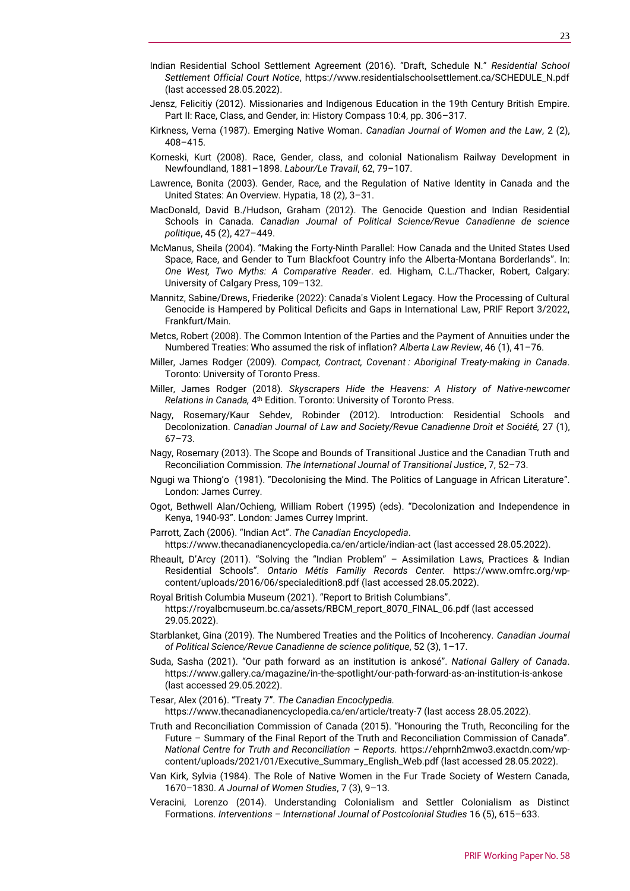- Indian Residential School Settlement Agreement (2016). "Draft, Schedule N." *Residential School Settlement Official Court Notice*, https://www.residentialschoolsettlement.ca/SCHEDULE\_N.pdf (last accessed 28.05.2022).
- Jensz, Felicitiy (2012). Missionaries and Indigenous Education in the 19th Century British Empire. Part II: Race, Class, and Gender, in: History Compass 10:4, pp. 306–317.
- Kirkness, Verna (1987). Emerging Native Woman. *Canadian Journal of Women and the Law*, 2 (2), 408–415.
- Korneski, Kurt (2008). Race, Gender, class, and colonial Nationalism Railway Development in Newfoundland, 1881–1898. *Labour/Le Travail*, 62, 79–107.
- Lawrence, Bonita (2003). Gender, Race, and the Regulation of Native Identity in Canada and the United States: An Overview. Hypatia, 18 (2), 3–31.
- MacDonald, David B./Hudson, Graham (2012). The Genocide Question and Indian Residential Schools in Canada. *Canadian Journal of Political Science/Revue Canadienne de science politique*, 45 (2), 427–449.
- McManus, Sheila (2004). "Making the Forty-Ninth Parallel: How Canada and the United States Used Space, Race, and Gender to Turn Blackfoot Country info the Alberta-Montana Borderlands". In: *One West, Two Myths: A Comparative Reader*. ed. Higham, C.L./Thacker, Robert, Calgary: University of Calgary Press, 109–132.
- Mannitz, Sabine/Drews, Friederike (2022): Canada's Violent Legacy. How the Processing of Cultural Genocide is Hampered by Political Deficits and Gaps in International Law, PRIF Report 3/2022, Frankfurt/Main.
- Metcs, Robert (2008). The Common Intention of the Parties and the Payment of Annuities under the Numbered Treaties: Who assumed the risk of inflation? *Alberta Law Review*, 46 (1), 41–76.
- Miller, James Rodger (2009). *Compact, Contract, Covenant : Aboriginal Treaty-making in Canada*. Toronto: University of Toronto Press.
- Miller, James Rodger (2018). *Skyscrapers Hide the Heavens: A History of Native-newcomer Relations in Canada,* 4th Edition. Toronto: University of Toronto Press.
- Nagy, Rosemary/Kaur Sehdev, Robinder (2012). Introduction: Residential Schools and Decolonization. *Canadian Journal of Law and Society/Revue Canadienne Droit et Société,* 27 (1), 67–73.
- Nagy, Rosemary (2013). The Scope and Bounds of Transitional Justice and the Canadian Truth and Reconciliation Commission. *The International Journal of Transitional Justice*, 7, 52–73.
- Ngugi wa Thiong'o (1981). "Decolonising the Mind. The Politics of Language in African Literature". London: James Currey.
- Ogot, Bethwell Alan/Ochieng, William Robert (1995) (eds). "Decolonization and Independence in Kenya, 1940-93". London: James Currey Imprint.
- Parrott, Zach (2006). "Indian Act". *The Canadian Encyclopedia*. https://www.thecanadianencyclopedia.ca/en/article/indian-act (last accessed 28.05.2022).
- Rheault, D'Arcy (2011). "Solving the "Indian Problem" Assimilation Laws, Practices & Indian Residential Schools". *Ontario Métis Familiy Records Center.* https://www.omfrc.org/wpcontent/uploads/2016/06/specialedition8.pdf (last accessed 28.05.2022).
- Royal British Columbia Museum (2021). "Report to British Columbians". https://royalbcmuseum.bc.ca/assets/RBCM\_report\_8070\_FINAL\_06.pdf (last accessed 29.05.2022).
- Starblanket, Gina (2019). The Numbered Treaties and the Politics of Incoherency. *Canadian Journal of Political Science/Revue Canadienne de science politique*, 52 (3), 1–17.
- Suda, Sasha (2021). "Our path forward as an institution is ankosé". *National Gallery of Canada*. https://www.gallery.ca/magazine/in-the-spotlight/our-path-forward-as-an-institution-is-ankose (last accessed 29.05.2022).
- Tesar, Alex (2016). "Treaty 7". *The Canadian Encoclypedia.* https://www.thecanadianencyclopedia.ca/en/article/treaty-7 (last access 28.05.2022).
- Truth and Reconciliation Commission of Canada (2015). "Honouring the Truth, Reconciling for the Future – Summary of the Final Report of the Truth and Reconciliation Commission of Canada". *National Centre for Truth and Reconciliation – Reports.* https://ehprnh2mwo3.exactdn.com/wpcontent/uploads/2021/01/Executive\_Summary\_English\_Web.pdf (last accessed 28.05.2022).
- Van Kirk, Sylvia (1984). The Role of Native Women in the Fur Trade Society of Western Canada, 1670–1830. *A Journal of Women Studies*, 7 (3), 9–13.
- Veracini, Lorenzo (2014). Understanding Colonialism and Settler Colonialism as Distinct Formations. *Interventions – International Journal of Postcolonial Studies* 16 (5), 615–633.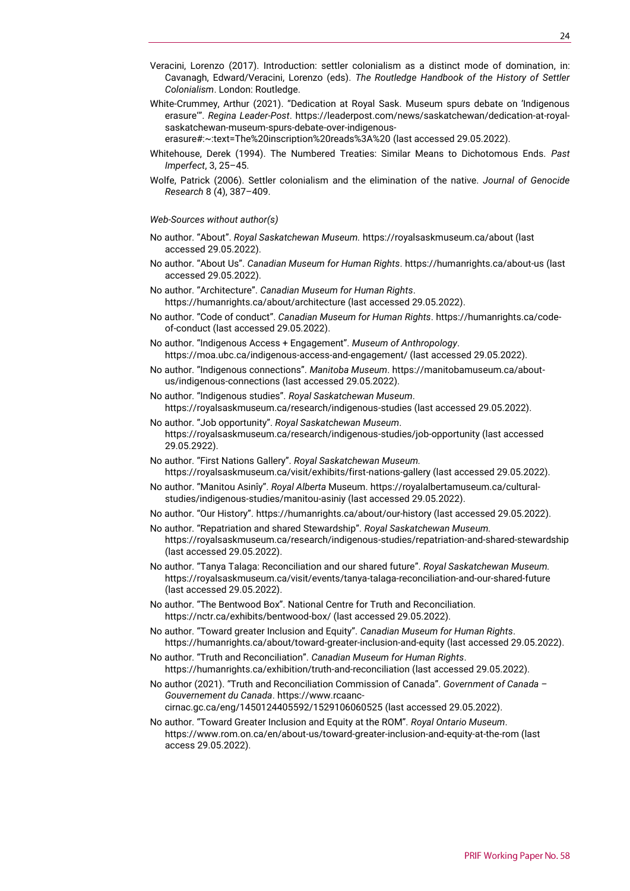- Veracini, Lorenzo (2017). Introduction: settler colonialism as a distinct mode of domination, in: Cavanagh, Edward/Veracini, Lorenzo (eds). *The Routledge Handbook of the History of Settler Colonialism*. London: Routledge.
- White-Crummey, Arthur (2021). "Dedication at Royal Sask. Museum spurs debate on 'Indigenous erasure'". *Regina Leader-Post*. https://leaderpost.com/news/saskatchewan/dedication-at-royalsaskatchewan-museum-spurs-debate-over-indigenous
	- erasure#:~:text=The%20inscription%20reads%3A%20 (last accessed 29.05.2022).
- Whitehouse, Derek (1994). The Numbered Treaties: Similar Means to Dichotomous Ends. *Past Imperfect*, 3, 25–45.
- Wolfe, Patrick (2006). Settler colonialism and the elimination of the native. *Journal of Genocide Research* 8 (4), 387–409.

*Web-Sources without author(s)*

- No author. "About". *Royal Saskatchewan Museum.* https://royalsaskmuseum.ca/about (last accessed 29.05.2022).
- No author. "About Us". *Canadian Museum for Human Rights*. https://humanrights.ca/about-us (last accessed 29.05.2022).
- No author. "Architecture". *Canadian Museum for Human Rights*. https://humanrights.ca/about/architecture (last accessed 29.05.2022).
- No author. "Code of conduct". *Canadian Museum for Human Rights*. https://humanrights.ca/codeof-conduct (last accessed 29.05.2022).
- No author. "Indigenous Access + Engagement". *Museum of Anthropology*. https://moa.ubc.ca/indigenous-access-and-engagement/ (last accessed 29.05.2022).
- No author. "Indigenous connections". *Manitoba Museum*. https://manitobamuseum.ca/aboutus/indigenous-connections (last accessed 29.05.2022).
- No author. "Indigenous studies". *Royal Saskatchewan Museum*. https://royalsaskmuseum.ca/research/indigenous-studies (last accessed 29.05.2022).
- No author. "Job opportunity". *Royal Saskatchewan Museum*. https://royalsaskmuseum.ca/research/indigenous-studies/job-opportunity (last accessed 29.05.2922).
- No author. "First Nations Gallery". *Royal Saskatchewan Museum.*  https://royalsaskmuseum.ca/visit/exhibits/first-nations-gallery (last accessed 29.05.2022).
- No author. "Manitou Asinîy". *Royal Alberta* Museum. https://royalalbertamuseum.ca/culturalstudies/indigenous-studies/manitou-asiniy (last accessed 29.05.2022).
- No author. "Our History". https://humanrights.ca/about/our-history (last accessed 29.05.2022).
- No author. "Repatriation and shared Stewardship". *Royal Saskatchewan Museum.*  https://royalsaskmuseum.ca/research/indigenous-studies/repatriation-and-shared-stewardship (last accessed 29.05.2022).
- No author. "Tanya Talaga: Reconciliation and our shared future". *Royal Saskatchewan Museum.*  https://royalsaskmuseum.ca/visit/events/tanya-talaga-reconciliation-and-our-shared-future (last accessed 29.05.2022).
- No author. "The Bentwood Box". National Centre for Truth and Reconciliation. https://nctr.ca/exhibits/bentwood-box/ (last accessed 29.05.2022).
- No author. "Toward greater Inclusion and Equity". *Canadian Museum for Human Rights*. https://humanrights.ca/about/toward-greater-inclusion-and-equity (last accessed 29.05.2022).
- No author. "Truth and Reconciliation". *Canadian Museum for Human Rights*. https://humanrights.ca/exhibition/truth-and-reconciliation (last accessed 29.05.2022).
- No author (2021). "Truth and Reconciliation Commission of Canada". *Government of Canada – Gouvernement du Canada*. https://www.rcaanccirnac.gc.ca/eng/1450124405592/1529106060525 (last accessed 29.05.2022).
- No author. "Toward Greater Inclusion and Equity at the ROM". *Royal Ontario Museum*. https://www.rom.on.ca/en/about-us/toward-greater-inclusion-and-equity-at-the-rom (last access 29.05.2022).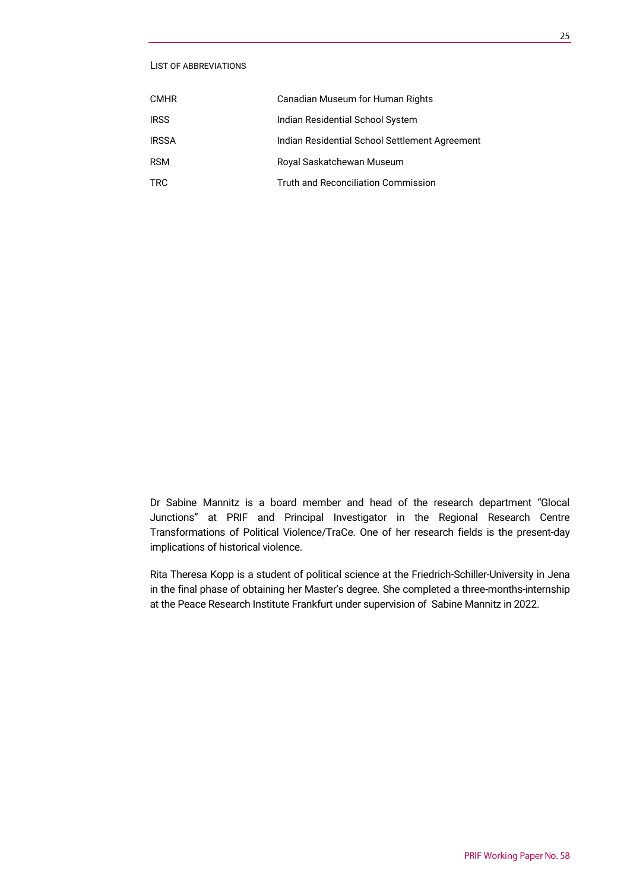# LIST OF ABBREVIATIONS

| <b>CMHR</b>  | Canadian Museum for Human Rights               |
|--------------|------------------------------------------------|
| <b>IRSS</b>  | Indian Residential School System               |
| <b>IRSSA</b> | Indian Residential School Settlement Agreement |
| <b>RSM</b>   | Royal Saskatchewan Museum                      |
| TRC          | Truth and Reconciliation Commission            |

Dr Sabine Mannitz is a board member and head of the research department "Glocal Junctions" at PRIF and Principal Investigator in the Regional Research Centre Transformations of Political Violence/TraCe. One of her research fields is the present-day implications of historical violence.

Rita Theresa Kopp is a student of political science at the Friedrich-Schiller-University in Jena in the final phase of obtaining her Master's degree. She completed a three-months-internship at the Peace Research Institute Frankfurt under supervision of Sabine Mannitz in 2022.